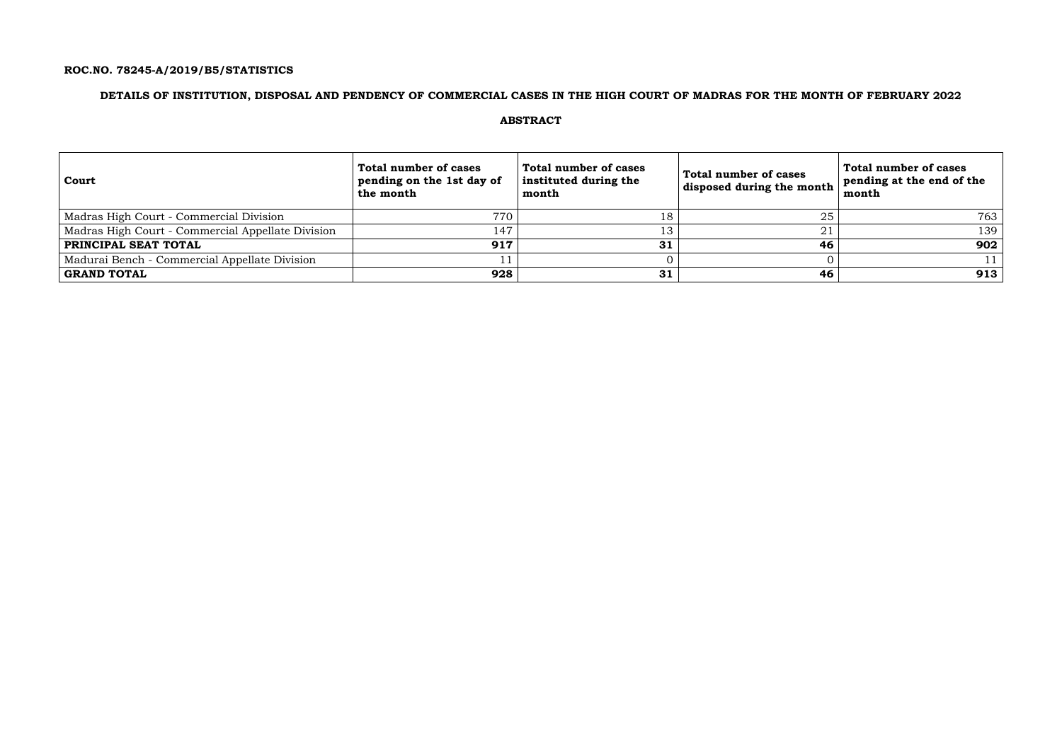## **ROC.NO. 78245-A/2019/B5/STATISTICS**

## **DETAILS OF INSTITUTION, DISPOSAL AND PENDENCY OF COMMERCIAL CASES IN THE HIGH COURT OF MADRAS FOR THE MONTH OF FEBRUARY 2022**

### **ABSTRACT**

| Court                                             | Total number of cases<br>pending on the 1st day of<br>the month | Total number of cases<br>instituted during the<br>month | Total number of cases<br>disposed during the month | Total number of cases<br>pending at the end of the<br>month |
|---------------------------------------------------|-----------------------------------------------------------------|---------------------------------------------------------|----------------------------------------------------|-------------------------------------------------------------|
| Madras High Court - Commercial Division           | 770                                                             | 18                                                      | 25                                                 | 763                                                         |
| Madras High Court - Commercial Appellate Division | 147                                                             | 13                                                      | ◢.                                                 | 139                                                         |
| <b>PRINCIPAL SEAT TOTAL</b>                       | 917                                                             | 31                                                      | 46                                                 | 902                                                         |
| Madurai Bench - Commercial Appellate Division     |                                                                 |                                                         |                                                    |                                                             |
| <b>GRAND TOTAL</b>                                | 928                                                             | 31                                                      | 46                                                 | 913                                                         |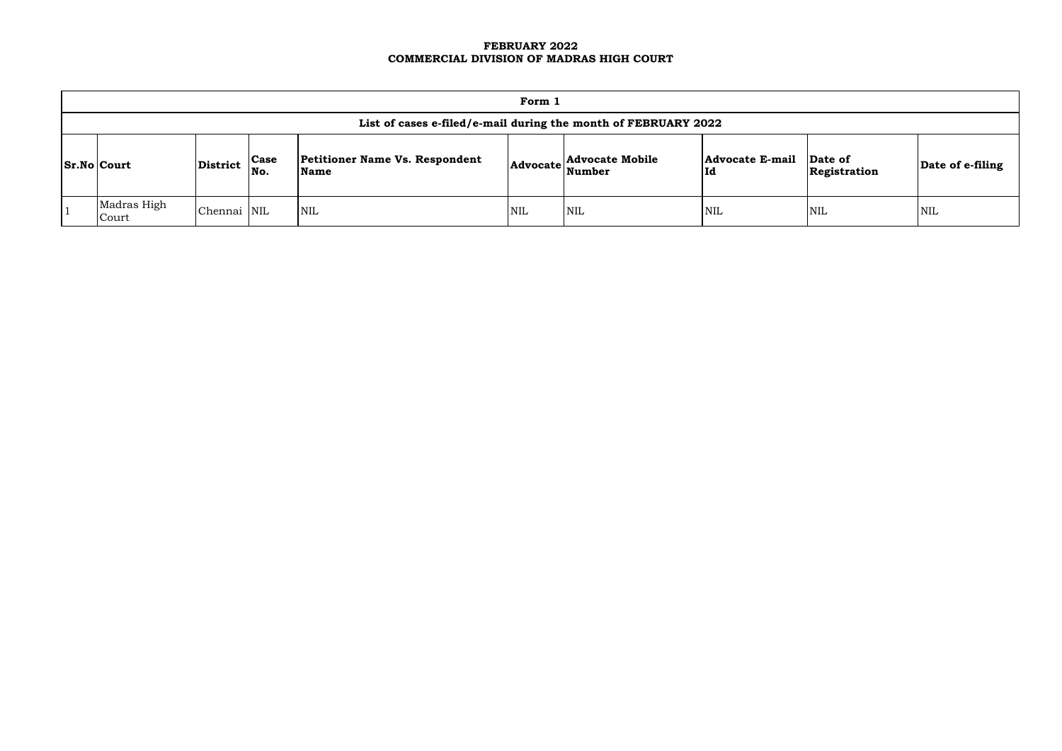### **FEBRUARY 2022 COMMERCIAL DIVISION OF MADRAS HIGH COURT**

| Form 1                                                         |                 |                    |                                               |            |                                               |                               |                         |                  |  |  |  |  |
|----------------------------------------------------------------|-----------------|--------------------|-----------------------------------------------|------------|-----------------------------------------------|-------------------------------|-------------------------|------------------|--|--|--|--|
| List of cases e-filed/e-mail during the month of FEBRUARY 2022 |                 |                    |                                               |            |                                               |                               |                         |                  |  |  |  |  |
| <b>Sr.No Court</b>                                             | <b>District</b> | <b>Case</b><br>No. | <b>Petitioner Name Vs. Respondent</b><br>Name |            | <b>Advocate Mobile</b><br>  Advocate   Number | <b>Advocate E-mail</b><br> Id | Date of<br>Registration | Date of e-filing |  |  |  |  |
| Madras High<br>Court                                           | Chennai NIL     |                    | <b>NIL</b>                                    | <b>NIL</b> | $\mathsf{NIL}$                                | NIL                           | NIL                     | NIL              |  |  |  |  |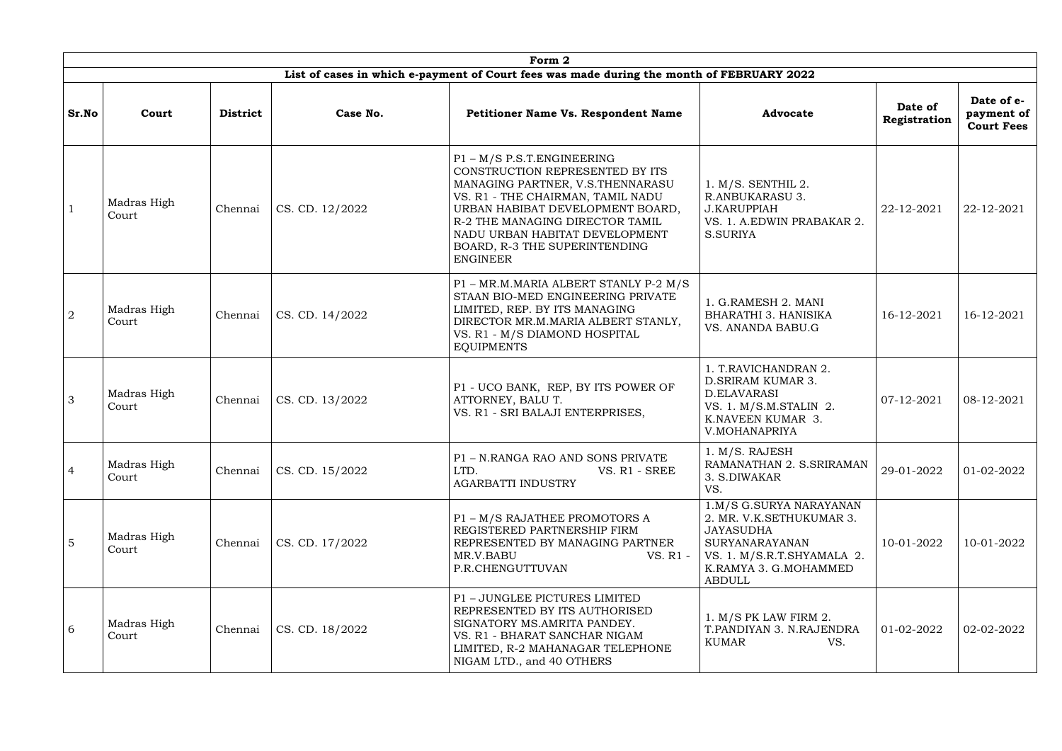|                |                      |                 |                 | Form 2                                                                                                                                                                                                                                                                                                 |                                                                                                                                                                   |                         |                                               |
|----------------|----------------------|-----------------|-----------------|--------------------------------------------------------------------------------------------------------------------------------------------------------------------------------------------------------------------------------------------------------------------------------------------------------|-------------------------------------------------------------------------------------------------------------------------------------------------------------------|-------------------------|-----------------------------------------------|
|                |                      |                 |                 | List of cases in which e-payment of Court fees was made during the month of FEBRUARY 2022                                                                                                                                                                                                              |                                                                                                                                                                   |                         |                                               |
| Sr.No          | Court                | <b>District</b> | Case No.        | <b>Petitioner Name Vs. Respondent Name</b>                                                                                                                                                                                                                                                             | <b>Advocate</b>                                                                                                                                                   | Date of<br>Registration | Date of e-<br>payment of<br><b>Court Fees</b> |
|                | Madras High<br>Court | Chennai         | CS. CD. 12/2022 | $P1 - M/S$ P.S.T. ENGINEERING<br>CONSTRUCTION REPRESENTED BY ITS<br>MANAGING PARTNER, V.S.THENNARASU<br>VS. R1 - THE CHAIRMAN, TAMIL NADU<br>URBAN HABIBAT DEVELOPMENT BOARD,<br>R-2 THE MANAGING DIRECTOR TAMIL<br>NADU URBAN HABITAT DEVELOPMENT<br>BOARD, R-3 THE SUPERINTENDING<br><b>ENGINEER</b> | $1. M/S.$ SENTHIL 2.<br><b>R.ANBUKARASU 3.</b><br><b>J.KARUPPIAH</b><br>VS. 1. A.EDWIN PRABAKAR 2.<br>S.SURIYA                                                    | 22-12-2021              | 22-12-2021                                    |
| $\overline{2}$ | Madras High<br>Court | Chennai         | CS. CD. 14/2022 | P1 - MR.M.MARIA ALBERT STANLY P-2 M/S<br>STAAN BIO-MED ENGINEERING PRIVATE<br>LIMITED, REP. BY ITS MANAGING<br>DIRECTOR MR.M.MARIA ALBERT STANLY,<br>VS. R1 - M/S DIAMOND HOSPITAL<br><b>EQUIPMENTS</b>                                                                                                | 1. G.RAMESH 2. MANI<br><b>BHARATHI 3. HANISIKA</b><br>VS. ANANDA BABU.G                                                                                           | 16-12-2021              | 16-12-2021                                    |
| 3              | Madras High<br>Court | Chennai         | CS. CD. 13/2022 | P1 - UCO BANK, REP, BY ITS POWER OF<br>ATTORNEY, BALU T.<br>VS. R1 - SRI BALAJI ENTERPRISES,                                                                                                                                                                                                           | 1. T.RAVICHANDRAN 2.<br>D. SRIRAM KUMAR 3.<br>D.ELAVARASI<br>VS. 1. M/S.M.STALIN 2.<br>K.NAVEEN KUMAR 3.<br>V.MOHANAPRIYA                                         | 07-12-2021              | 08-12-2021                                    |
| $\overline{4}$ | Madras High<br>Court | Chennai         | CS. CD. 15/2022 | P1 - N.RANGA RAO AND SONS PRIVATE<br>VS. R1 - SREE<br>LTD.<br><b>AGARBATTI INDUSTRY</b>                                                                                                                                                                                                                | 1. M/S. RAJESH<br>RAMANATHAN 2. S.SRIRAMAN<br>3. S.DIWAKAR<br>VS.                                                                                                 | 29-01-2022              | 01-02-2022                                    |
| $\overline{5}$ | Madras High<br>Court | Chennai         | CS. CD. 17/2022 | P1 - M/S RAJATHEE PROMOTORS A<br>REGISTERED PARTNERSHIP FIRM<br>REPRESENTED BY MANAGING PARTNER<br>MR.V.BABU<br>VS. R1 -<br>P.R.CHENGUTTUVAN                                                                                                                                                           | 1.M/S G.SURYA NARAYANAN<br>2. MR. V.K.SETHUKUMAR 3.<br><b>JAYASUDHA</b><br>SURYANARAYANAN<br>VS. 1. M/S.R.T.SHYAMALA 2.<br>K.RAMYA 3. G.MOHAMMED<br><b>ABDULL</b> | 10-01-2022              | 10-01-2022                                    |
| 6              | Madras High<br>Court | Chennai         | CS. CD. 18/2022 | P1 - JUNGLEE PICTURES LIMITED<br>REPRESENTED BY ITS AUTHORISED<br>SIGNATORY MS.AMRITA PANDEY.<br>VS. R1 - BHARAT SANCHAR NIGAM<br>LIMITED, R-2 MAHANAGAR TELEPHONE<br>NIGAM LTD., and 40 OTHERS                                                                                                        | 1. $M/S$ PK LAW FIRM 2.<br>T.PANDIYAN 3. N.RAJENDRA<br>KUMAR<br>VS.                                                                                               | 01-02-2022              | 02-02-2022                                    |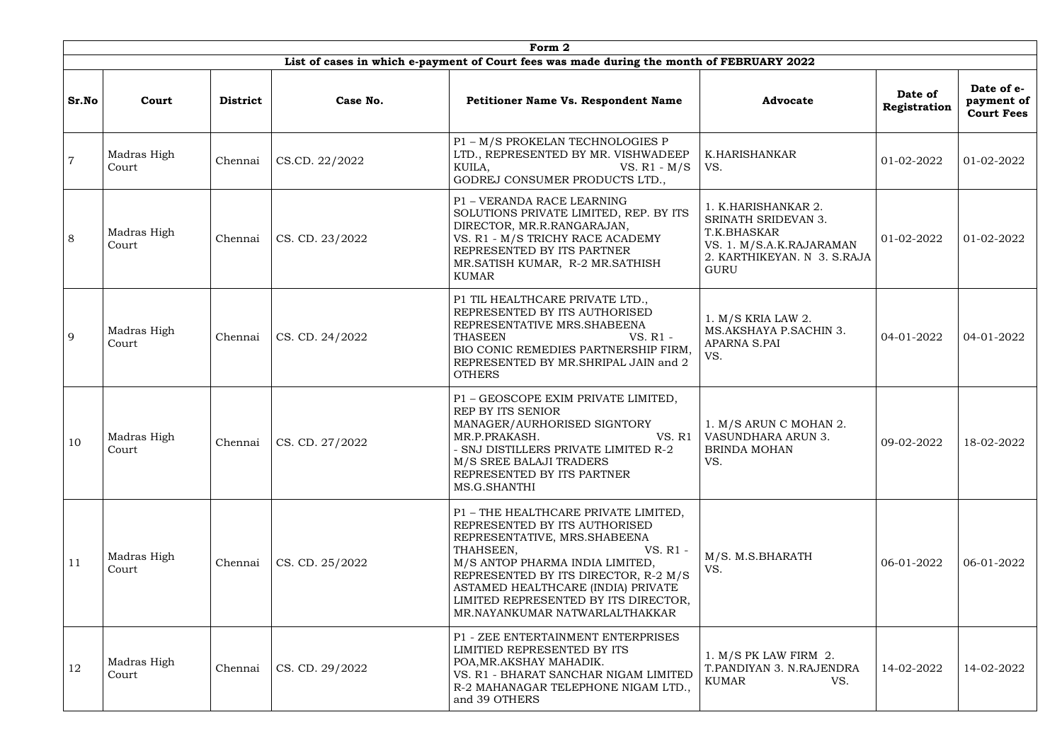|                |                      |                 |                         | Form 2                                                                                                                                                                                                                                                                                                                    |                                                                                                                                     |                         |                                               |
|----------------|----------------------|-----------------|-------------------------|---------------------------------------------------------------------------------------------------------------------------------------------------------------------------------------------------------------------------------------------------------------------------------------------------------------------------|-------------------------------------------------------------------------------------------------------------------------------------|-------------------------|-----------------------------------------------|
|                |                      |                 |                         | List of cases in which e-payment of Court fees was made during the month of FEBRUARY 2022                                                                                                                                                                                                                                 |                                                                                                                                     |                         |                                               |
| Sr.No          | Court                | <b>District</b> | Case No.                | Petitioner Name Vs. Respondent Name                                                                                                                                                                                                                                                                                       | <b>Advocate</b>                                                                                                                     | Date of<br>Registration | Date of e-<br>payment of<br><b>Court Fees</b> |
| $\overline{7}$ | Madras High<br>Court | Chennai         | CS.CD. 22/2022          | P1 - M/S PROKELAN TECHNOLOGIES P<br>LTD., REPRESENTED BY MR. VISHWADEEP<br>KUILA,<br>VS. $R1 - M/S$<br>GODREJ CONSUMER PRODUCTS LTD.,                                                                                                                                                                                     | K.HARISHANKAR<br>VS.                                                                                                                | 01-02-2022              | 01-02-2022                                    |
| 8              | Madras High<br>Court | Chennai         | CS. CD. 23/2022         | P1 - VERANDA RACE LEARNING<br>SOLUTIONS PRIVATE LIMITED, REP. BY ITS<br>DIRECTOR, MR.R.RANGARAJAN,<br>VS. R1 - M/S TRICHY RACE ACADEMY<br>REPRESENTED BY ITS PARTNER<br>MR.SATISH KUMAR, R-2 MR.SATHISH<br><b>KUMAR</b>                                                                                                   | 1. K.HARISHANKAR 2.<br>SRINATH SRIDEVAN 3.<br>T.K.BHASKAR<br>VS. 1. M/S.A.K.RAJARAMAN<br>2. KARTHIKEYAN. N 3. S.RAJA<br><b>GURU</b> | 01-02-2022              | 01-02-2022                                    |
| 9              | Madras High<br>Court | Chennai         | CS. CD. 24/2022         | P1 TIL HEALTHCARE PRIVATE LTD.,<br>REPRESENTED BY ITS AUTHORISED<br>REPRESENTATIVE MRS. SHABEENA<br><b>THASEEN</b><br>VS. R1 -<br>BIO CONIC REMEDIES PARTNERSHIP FIRM,<br>REPRESENTED BY MR.SHRIPAL JAIN and 2<br><b>OTHERS</b>                                                                                           | $1. M/S$ KRIA LAW 2.<br>MS.AKSHAYA P.SACHIN 3.<br><b>APARNA S.PAI</b><br>VS.                                                        | 04-01-2022              | 04-01-2022                                    |
| 10             | Madras High<br>Court | Chennai         | $\vert$ CS. CD. 27/2022 | P1 - GEOSCOPE EXIM PRIVATE LIMITED,<br>REP BY ITS SENIOR<br>MANAGER/AURHORISED SIGNTORY<br>MR.P.PRAKASH.<br>- SNJ DISTILLERS PRIVATE LIMITED R-2<br>M/S SREE BALAJI TRADERS<br>REPRESENTED BY ITS PARTNER<br>MS.G.SHANTHI                                                                                                 | 1. M/S ARUN C MOHAN 2.<br>VS. R1 VASUNDHARA ARUN 3.<br><b>BRINDA MOHAN</b><br>VS.                                                   | 09-02-2022              | 18-02-2022                                    |
| 11             | Madras High<br>Court | Chennai         | CS. CD. 25/2022         | P1 - THE HEALTHCARE PRIVATE LIMITED,<br>REPRESENTED BY ITS AUTHORISED<br>REPRESENTATIVE, MRS.SHABEENA<br>THAHSEEN,<br>VS. R1 -<br>M/S ANTOP PHARMA INDIA LIMITED,<br>REPRESENTED BY ITS DIRECTOR, R-2 M/S<br>ASTAMED HEALTHCARE (INDIA) PRIVATE<br>LIMITED REPRESENTED BY ITS DIRECTOR,<br>MR.NAYANKUMAR NATWARLALTHAKKAR | M/S. M.S.BHARATH<br>VS.                                                                                                             | 06-01-2022              | 06-01-2022                                    |
| 12             | Madras High<br>Court | Chennai         | CS. CD. 29/2022         | P1 - ZEE ENTERTAINMENT ENTERPRISES<br>LIMITIED REPRESENTED BY ITS<br>POA, MR. AKSHAY MAHADIK.<br>VS. R1 - BHARAT SANCHAR NIGAM LIMITED<br>R-2 MAHANAGAR TELEPHONE NIGAM LTD.<br>and 39 OTHERS                                                                                                                             | $1. M/S$ PK LAW FIRM 2.<br>T.PANDIYAN 3. N.RAJENDRA<br><b>KUMAR</b><br>VS.                                                          | 14-02-2022              | 14-02-2022                                    |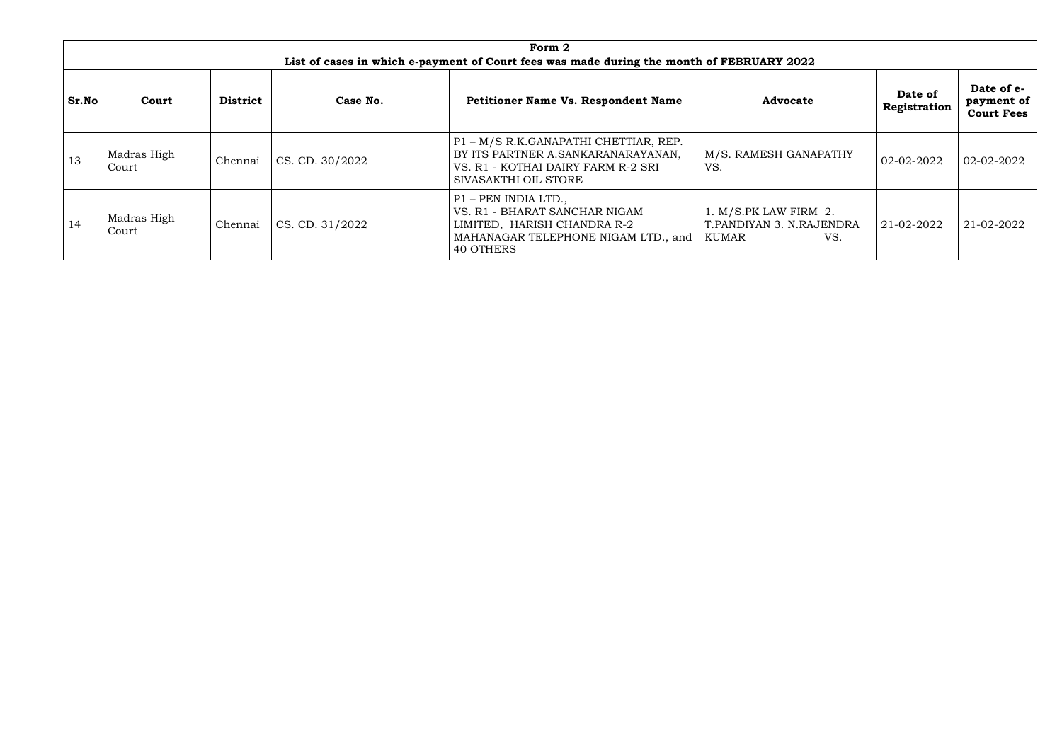|            |                                                                                           |                 |                         | Form 2                                                                                                                                    |                                                                   |                         |                                               |  |  |  |  |  |
|------------|-------------------------------------------------------------------------------------------|-----------------|-------------------------|-------------------------------------------------------------------------------------------------------------------------------------------|-------------------------------------------------------------------|-------------------------|-----------------------------------------------|--|--|--|--|--|
|            | List of cases in which e-payment of Court fees was made during the month of FEBRUARY 2022 |                 |                         |                                                                                                                                           |                                                                   |                         |                                               |  |  |  |  |  |
| Sr.No      | Court                                                                                     | <b>District</b> | Case No.                | <b>Petitioner Name Vs. Respondent Name</b>                                                                                                | <b>Advocate</b>                                                   | Date of<br>Registration | Date of e-<br>payment of<br><b>Court Fees</b> |  |  |  |  |  |
| $\vert$ 13 | Madras High<br>Court                                                                      | Chennai         | CS. CD. 30/2022         | P1 - M/S R.K.GANAPATHI CHETTIAR, REP.<br>BY ITS PARTNER A.SANKARANARAYANAN,<br>VS. R1 - KOTHAI DAIRY FARM R-2 SRI<br>SIVASAKTHI OIL STORE | M/S. RAMESH GANAPATHY<br>VS.                                      | 02-02-2022              | 02-02-2022                                    |  |  |  |  |  |
| $\vert$ 14 | Madras High<br>Court                                                                      | Chennai         | $\vert$ CS. CD. 31/2022 | P1 - PEN INDIA LTD.,<br>VS. R1 - BHARAT SANCHAR NIGAM<br>LIMITED, HARISH CHANDRA R-2<br>MAHANAGAR TELEPHONE NIGAM LTD., and<br>40 OTHERS  | 1. M/S.PK LAW FIRM 2.<br>T.PANDIYAN 3. N.RAJENDRA<br>KUMAR<br>VS. | 21-02-2022              | 21-02-2022                                    |  |  |  |  |  |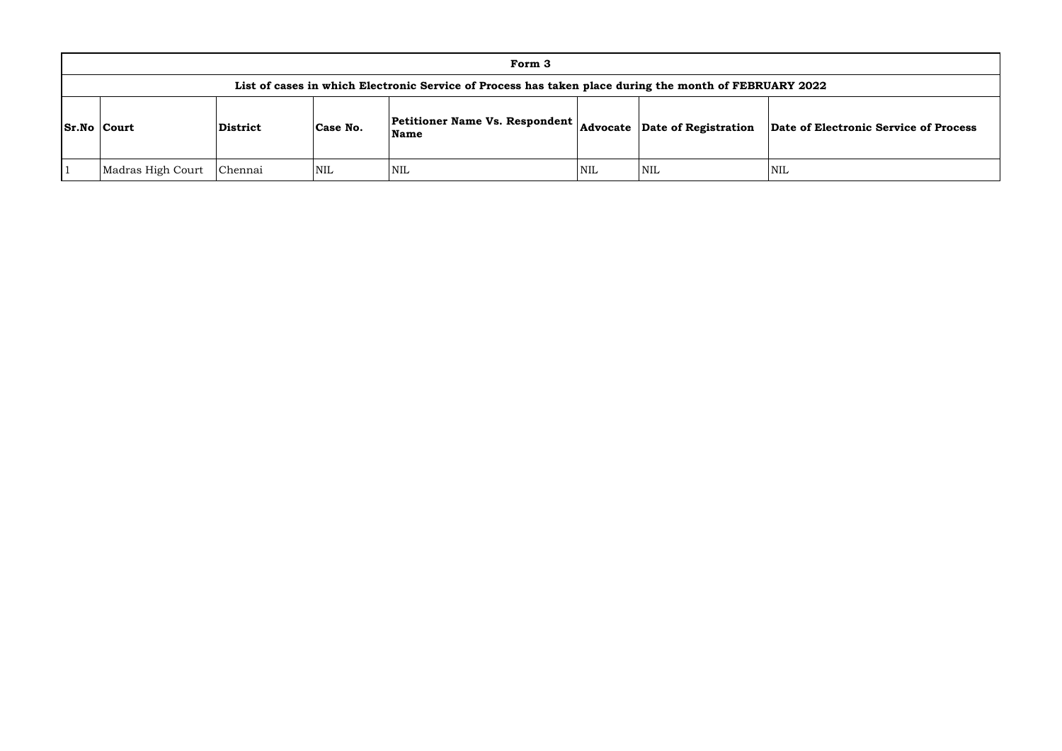|                    |                                                                                                        |          |          | Form 3                                          |     |                               |            |  |  |
|--------------------|--------------------------------------------------------------------------------------------------------|----------|----------|-------------------------------------------------|-----|-------------------------------|------------|--|--|
|                    | List of cases in which Electronic Service of Process has taken place during the month of FEBRUARY 2022 |          |          |                                                 |     |                               |            |  |  |
| <b>Sr.No Court</b> |                                                                                                        | District | Case No. | <b>Petitioner Name Vs. Respondent</b>  <br>Name |     | Advocate Date of Registration | Date of El |  |  |
|                    | Madras High Court                                                                                      | Chennai  | NIL      | <b>NIL</b>                                      | NIL | <b>NIL</b>                    | <b>NIL</b> |  |  |

### **Name Advocate Date of Registration Date of Electronic Service of Process**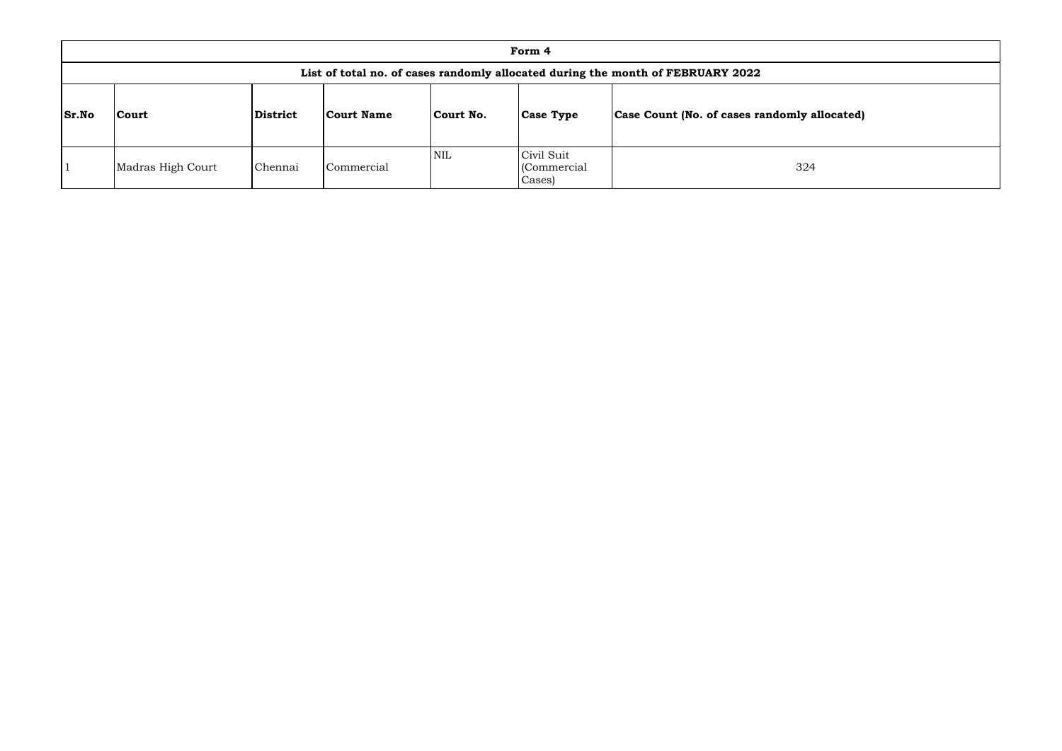|              |                   |                 |                   |            | Form 4                               |                                                                                 |
|--------------|-------------------|-----------------|-------------------|------------|--------------------------------------|---------------------------------------------------------------------------------|
|              |                   |                 |                   |            |                                      | List of total no. of cases randomly allocated during the month of FEBRUARY 2022 |
| <b>Sr.No</b> | <b>Court</b>      | <b>District</b> | <b>Court Name</b> | Court No.  | <b>Case Type</b>                     | Case Count (No. of cases randomly allocated)                                    |
|              | Madras High Court | Chennai         | Commercial        | <b>NIL</b> | Civil Suit<br>(Commercial)<br>Cases) | 324                                                                             |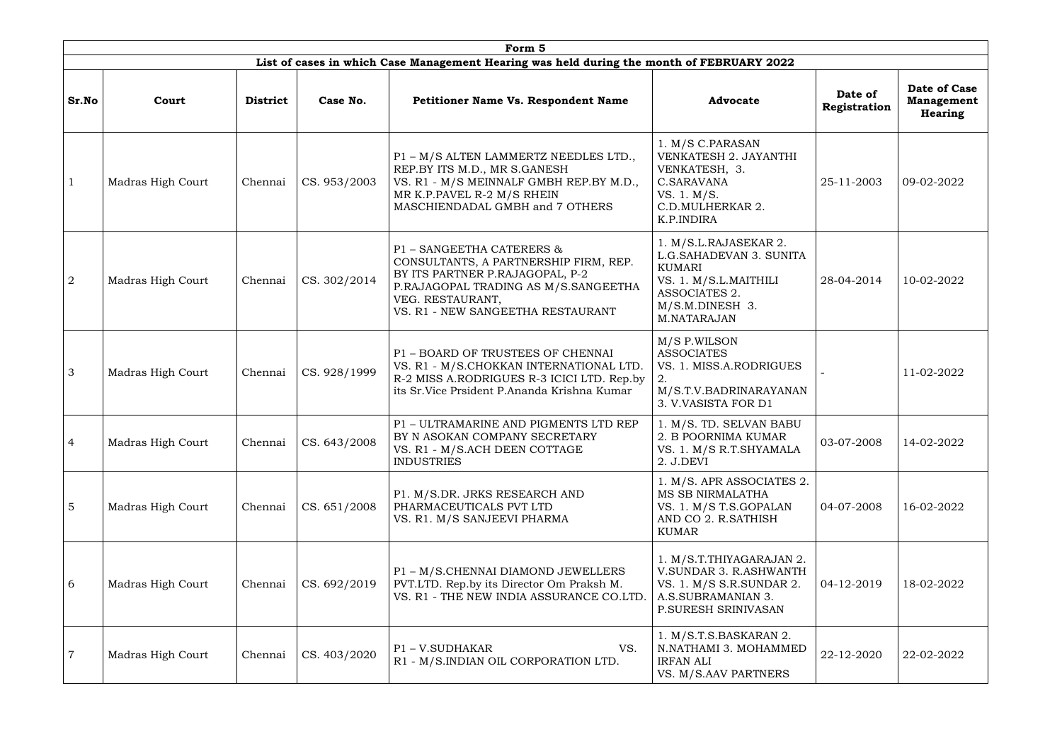|                |                          |                 |              | Form 5                                                                                                                                                                                                 |                                                                                                                                               |                         |                                                     |
|----------------|--------------------------|-----------------|--------------|--------------------------------------------------------------------------------------------------------------------------------------------------------------------------------------------------------|-----------------------------------------------------------------------------------------------------------------------------------------------|-------------------------|-----------------------------------------------------|
|                |                          |                 |              | List of cases in which Case Management Hearing was held during the month of FEBRUARY 2022                                                                                                              |                                                                                                                                               |                         |                                                     |
| Sr.No          | Court                    | <b>District</b> | Case No.     | <b>Petitioner Name Vs. Respondent Name</b>                                                                                                                                                             | <b>Advocate</b>                                                                                                                               | Date of<br>Registration | Date of Case<br><b>Management</b><br><b>Hearing</b> |
|                | <b>Madras High Court</b> | Chennai         | CS. 953/2003 | P1 - M/S ALTEN LAMMERTZ NEEDLES LTD.,<br>REP.BY ITS M.D., MR S.GANESH<br>VS. R1 - M/S MEINNALF GMBH REP.BY M.D.,<br>MR K.P.PAVEL R-2 M/S RHEIN<br>MASCHIENDADAL GMBH and 7 OTHERS                      | 1. M/S C.PARASAN<br>VENKATESH 2. JAYANTHI<br>VENKATESH, 3.<br>C.SARAVANA<br>VS. 1. M/S.<br>C.D.MULHERKAR 2.<br>K.P.INDIRA                     | 25-11-2003              | 09-02-2022                                          |
| $\overline{2}$ | Madras High Court        | Chennai         | CS. 302/2014 | P1 - SANGEETHA CATERERS &<br>CONSULTANTS, A PARTNERSHIP FIRM, REP.<br>BY ITS PARTNER P.RAJAGOPAL, P-2<br>P.RAJAGOPAL TRADING AS M/S.SANGEETHA<br>VEG. RESTAURANT,<br>VS. R1 - NEW SANGEETHA RESTAURANT | 1. M/S.L.RAJASEKAR 2.<br>L.G.SAHADEVAN 3. SUNITA<br><b>KUMARI</b><br>VS. 1. M/S.L.MAITHILI<br>ASSOCIATES 2.<br>M/S.M.DINESH 3.<br>M.NATARAJAN | 28-04-2014              | 10-02-2022                                          |
| 3              | Madras High Court        | Chennai         | CS. 928/1999 | P1 - BOARD OF TRUSTEES OF CHENNAI<br>VS. R1 - M/S.CHOKKAN INTERNATIONAL LTD.<br>R-2 MISS A.RODRIGUES R-3 ICICI LTD. Rep.by<br>its Sr. Vice Prsident P. Ananda Krishna Kumar                            | M/S P.WILSON<br><b>ASSOCIATES</b><br>VS. 1. MISS.A.RODRIGUES<br>M/S.T.V.BADRINARAYANAN<br>3. V.VASISTA FOR D1                                 |                         | 11-02-2022                                          |
| -4             | Madras High Court        | Chennai         | CS. 643/2008 | P1 - ULTRAMARINE AND PIGMENTS LTD REP<br>BY N ASOKAN COMPANY SECRETARY<br>VS. R1 - M/S.ACH DEEN COTTAGE<br><b>INDUSTRIES</b>                                                                           | 1. M/S. TD. SELVAN BABU<br>2. B POORNIMA KUMAR<br>VS. 1. M/S R.T.SHYAMALA<br>2. J.DEVI                                                        | 03-07-2008              | 14-02-2022                                          |
| 5              | <b>Madras High Court</b> | Chennai         | CS. 651/2008 | P1. M/S.DR. JRKS RESEARCH AND<br>PHARMACEUTICALS PVT LTD<br>VS. R1. M/S SANJEEVI PHARMA                                                                                                                | 1. M/S. APR ASSOCIATES 2.<br>MS SB NIRMALATHA<br>VS. 1. M/S T.S.GOPALAN<br>AND CO 2. R.SATHISH<br><b>KUMAR</b>                                | 04-07-2008              | 16-02-2022                                          |
| 6              | Madras High Court        | Chennai         | CS. 692/2019 | P1 - M/S.CHENNAI DIAMOND JEWELLERS<br>PVT.LTD. Rep.by its Director Om Praksh M.<br>VS. R1 - THE NEW INDIA ASSURANCE CO.LTD                                                                             | 1. M/S.T.THIYAGARAJAN 2.<br>V.SUNDAR 3. R.ASHWANTH<br>VS. 1. M/S S.R.SUNDAR 2.<br>A.S.SUBRAMANIAN 3.<br>P.SURESH SRINIVASAN                   | 04-12-2019              | 18-02-2022                                          |
| $\overline{7}$ | <b>Madras High Court</b> | Chennai         | CS. 403/2020 | P1-V.SUDHAKAR<br>VS.<br>R1 - M/S.INDIAN OIL CORPORATION LTD.                                                                                                                                           | 1. M/S.T.S.BASKARAN 2.<br>N.NATHAMI 3. MOHAMMED<br><b>IRFAN ALI</b><br>VS. M/S.AAV PARTNERS                                                   | 22-12-2020              | 22-02-2022                                          |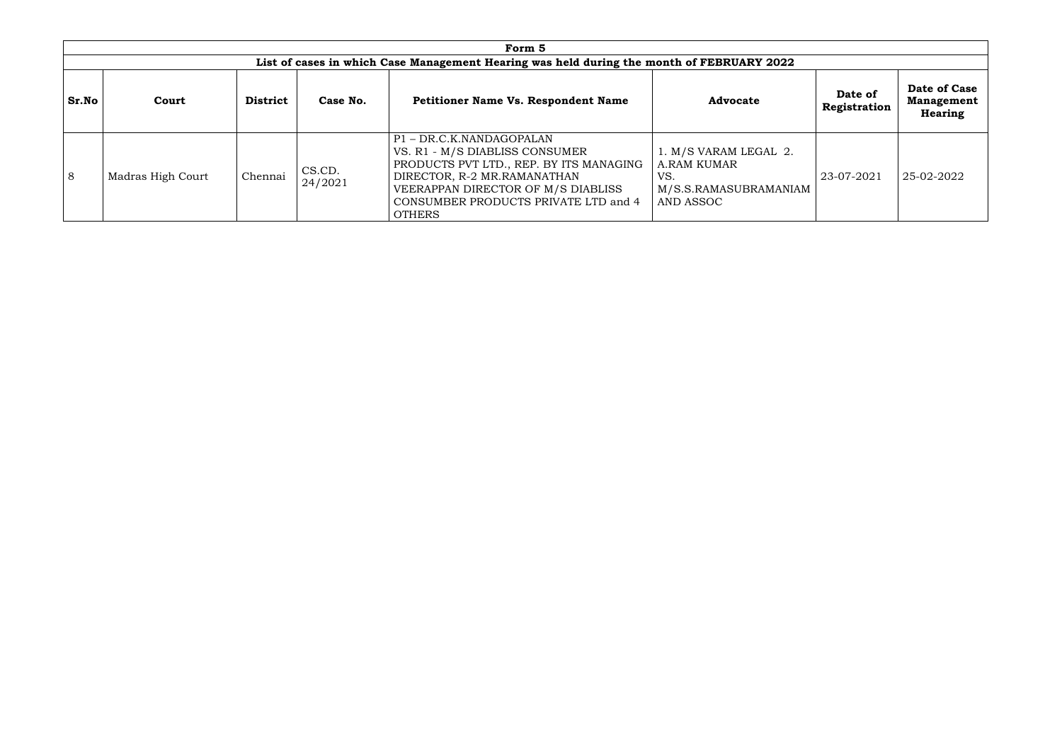|              |                   |                 |                   | Form 5                                                                                                                                                                                                                            |                                                                                   |                         |                                              |
|--------------|-------------------|-----------------|-------------------|-----------------------------------------------------------------------------------------------------------------------------------------------------------------------------------------------------------------------------------|-----------------------------------------------------------------------------------|-------------------------|----------------------------------------------|
|              |                   |                 |                   | List of cases in which Case Management Hearing was held during the month of FEBRUARY 2022                                                                                                                                         |                                                                                   |                         |                                              |
| <b>Sr.No</b> | Court             | <b>District</b> | Case No.          | <b>Petitioner Name Vs. Respondent Name</b>                                                                                                                                                                                        | <b>Advocate</b>                                                                   | Date of<br>Registration | Date of Case<br><b>Management</b><br>Hearing |
| 8            | Madras High Court | Chennai         | CS.CD.<br>24/2021 | P1-DR.C.K.NANDAGOPALAN<br>VS. R1 - M/S DIABLISS CONSUMER<br>PRODUCTS PVT LTD., REP. BY ITS MANAGING<br>DIRECTOR, R-2 MR.RAMANATHAN<br>VEERAPPAN DIRECTOR OF M/S DIABLISS<br>CONSUMBER PRODUCTS PRIVATE LTD and 4<br><b>OTHERS</b> | 1. M/S VARAM LEGAL 2.<br>A.RAM KUMAR<br>VS.<br>M/S.S.RAMASUBRAMANIAM<br>AND ASSOC | 23-07-2021              | 25-02-2022                                   |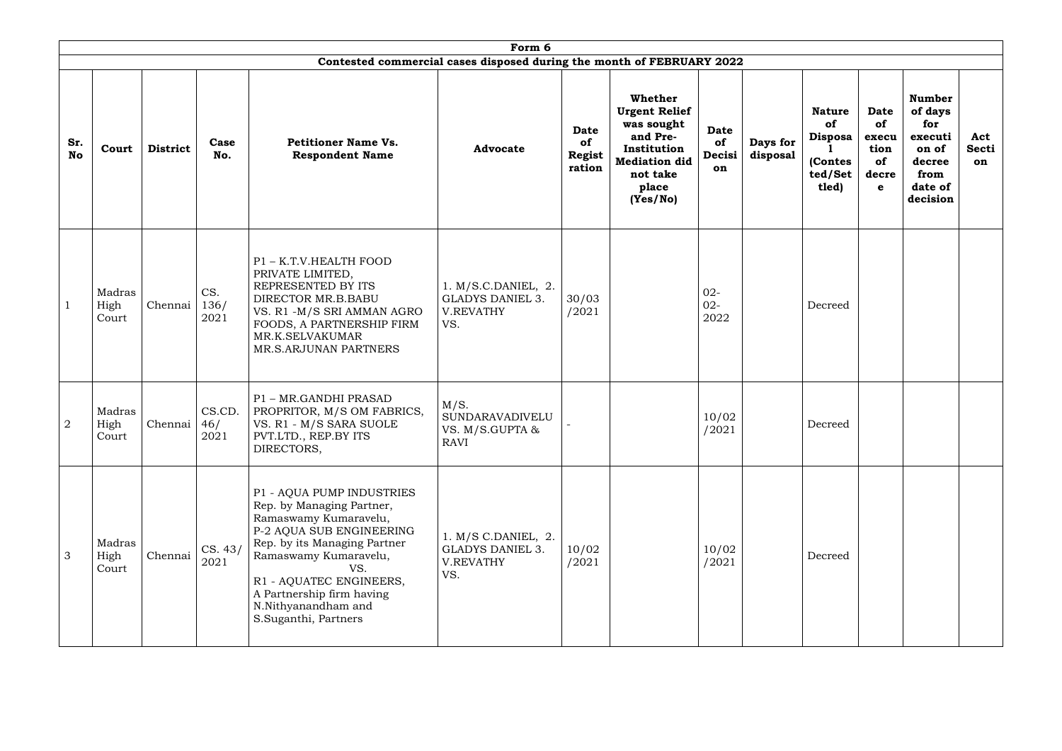|                  |                         |                 |                       |                                                                                                                                                                                                                                                                                    | Form 6                                                                        |                                                     |                                                                                                                                          |                            |                      |                                                                      |                                                                  |                                                                                              |                           |
|------------------|-------------------------|-----------------|-----------------------|------------------------------------------------------------------------------------------------------------------------------------------------------------------------------------------------------------------------------------------------------------------------------------|-------------------------------------------------------------------------------|-----------------------------------------------------|------------------------------------------------------------------------------------------------------------------------------------------|----------------------------|----------------------|----------------------------------------------------------------------|------------------------------------------------------------------|----------------------------------------------------------------------------------------------|---------------------------|
|                  |                         |                 |                       |                                                                                                                                                                                                                                                                                    | Contested commercial cases disposed during the month of FEBRUARY 2022         |                                                     |                                                                                                                                          |                            |                      |                                                                      |                                                                  |                                                                                              |                           |
| Sr.<br><b>No</b> | Court                   | <b>District</b> | Case<br>No.           | <b>Petitioner Name Vs.</b><br><b>Respondent Name</b>                                                                                                                                                                                                                               | <b>Advocate</b>                                                               | <b>Date</b><br><b>of</b><br><b>Regist</b><br>ration | <b>Whether</b><br><b>Urgent Relief</b><br>was sought<br>and Pre-<br>Institution<br><b>Mediation did</b><br>not take<br>place<br>(Yes/No) | Date<br>of<br>Decisi<br>on | Days for<br>disposal | <b>Nature</b><br>of<br><b>Disposa</b><br>(Contes<br>ted/Set<br>tled) | <b>Date</b><br>of<br>execu<br>tion<br>of<br>decre<br>$\mathbf e$ | <b>Number</b><br>of days<br>for<br>executi<br>on of<br>decree<br>from<br>date of<br>decision | Act<br><b>Secti</b><br>on |
| $\mathbf{1}$     | Madras<br>High<br>Court | Chennai         | CS.<br>136/<br>2021   | P1 - K.T.V.HEALTH FOOD<br>PRIVATE LIMITED,<br>REPRESENTED BY ITS<br>DIRECTOR MR.B.BABU<br>VS. R1 -M/S SRI AMMAN AGRO<br>FOODS, A PARTNERSHIP FIRM<br>MR.K.SELVAKUMAR<br>MR.S.ARJUNAN PARTNERS                                                                                      | 1. M/S.C.DANIEL, 2.<br><b>GLADYS DANIEL 3.</b><br>V.REVATHY<br>VS.            | 30/03<br>/2021                                      |                                                                                                                                          | $02 -$<br>$02 -$<br>2022   |                      | Decreed                                                              |                                                                  |                                                                                              |                           |
| $\overline{2}$   | Madras<br>High<br>Court | Chennai         | CS.CD.<br>46/<br>2021 | P1 - MR.GANDHI PRASAD<br>PROPRITOR, M/S OM FABRICS,<br>VS. R1 - M/S SARA SUOLE<br>PVT.LTD., REP.BY ITS<br>DIRECTORS,                                                                                                                                                               | M/S.<br>SUNDARAVADIVELU<br>VS. M/S.GUPTA &<br>RAVI                            |                                                     |                                                                                                                                          | 10/02<br>/2021             |                      | Decreed                                                              |                                                                  |                                                                                              |                           |
| $\mathcal{S}$    | Madras<br>High<br>Court | Chennai         | CS. 43/<br>2021       | P1 - AQUA PUMP INDUSTRIES<br>Rep. by Managing Partner,<br>Ramaswamy Kumaravelu,<br>P-2 AQUA SUB ENGINEERING<br>Rep. by its Managing Partner<br>Ramaswamy Kumaravelu,<br>VS.<br>R1 - AQUATEC ENGINEERS,<br>A Partnership firm having<br>N.Nithyanandham and<br>S.Suganthi, Partners | $1. M/S$ C.DANIEL, $2.$<br><b>GLADYS DANIEL 3.</b><br><b>V.REVATHY</b><br>VS. | 10/02<br>/2021                                      |                                                                                                                                          | 10/02<br>/2021             |                      | Decreed                                                              |                                                                  |                                                                                              |                           |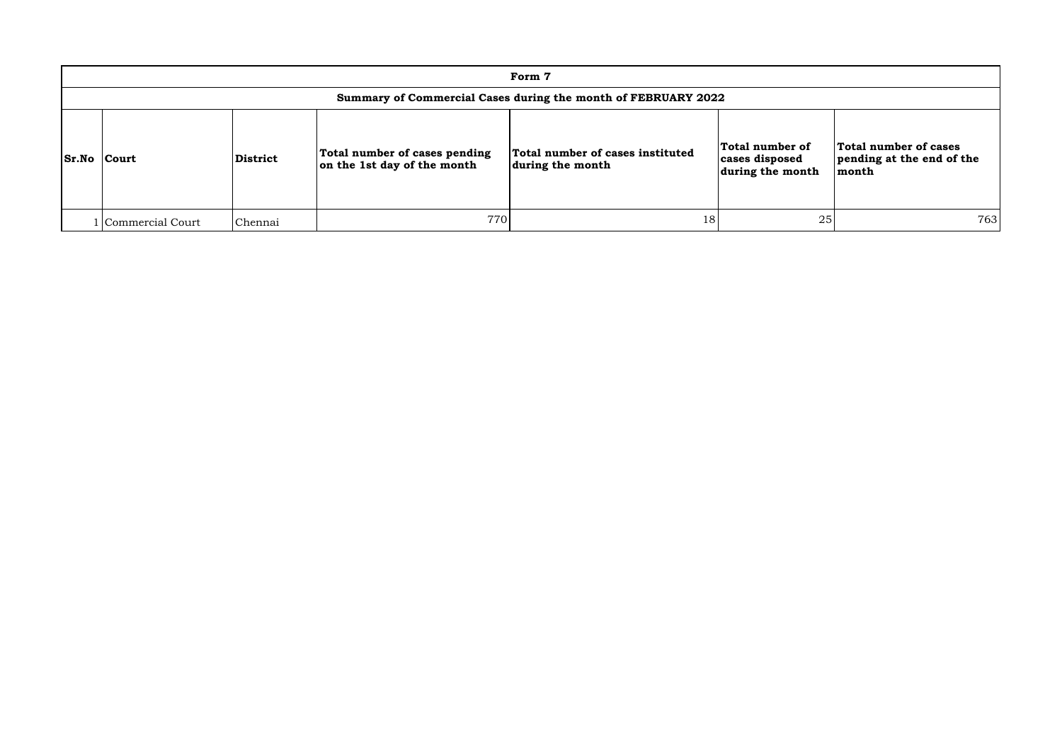|                                                               |                 |                                                              | Form 7                                               |                                                       |                                                             |  |  |  |  |  |  |
|---------------------------------------------------------------|-----------------|--------------------------------------------------------------|------------------------------------------------------|-------------------------------------------------------|-------------------------------------------------------------|--|--|--|--|--|--|
| Summary of Commercial Cases during the month of FEBRUARY 2022 |                 |                                                              |                                                      |                                                       |                                                             |  |  |  |  |  |  |
| <b>Sr.No Court</b>                                            | <b>District</b> | Total number of cases pending<br>on the 1st day of the month | Total number of cases instituted<br>during the month | Total number of<br>cases disposed<br>during the month | Total number of cases<br>pending at the end of the<br>month |  |  |  |  |  |  |
| Commercial Court                                              | Chennai         | 770                                                          | 18                                                   | 25                                                    | 763                                                         |  |  |  |  |  |  |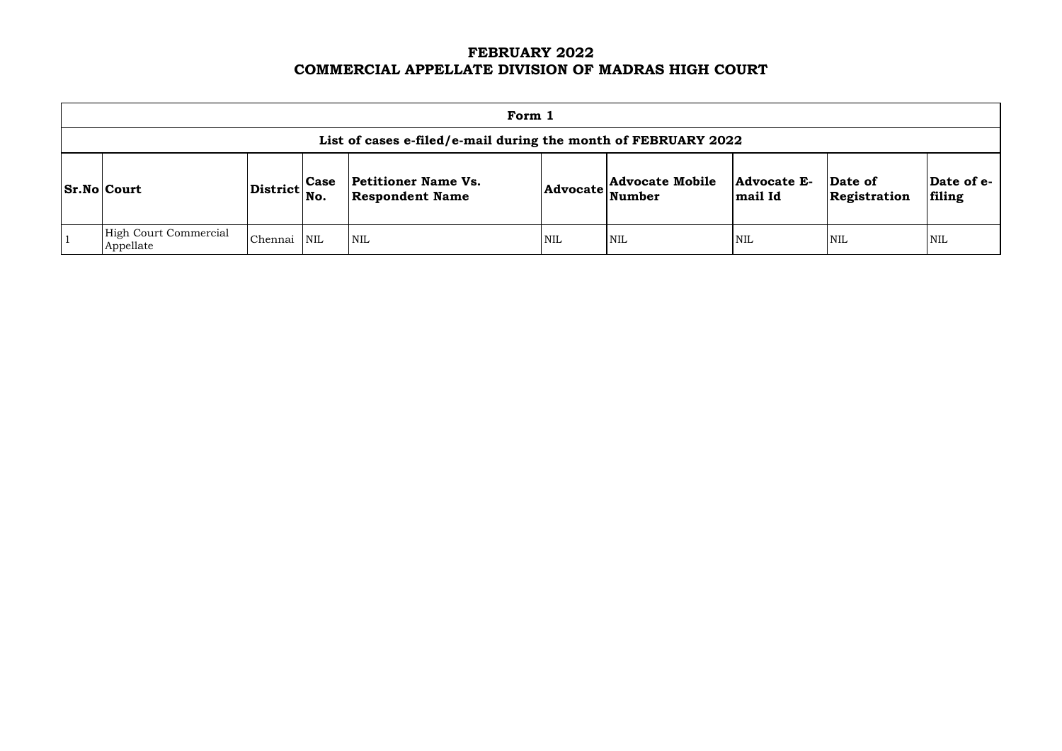# **FEBRUARY 2022 COMMERCIAL APPELLATE DIVISION OF MADRAS HIGH COURT**

| Form 1                                                         |                 |                    |                                                      |                 |                                         |                        |                         |                      |  |  |
|----------------------------------------------------------------|-----------------|--------------------|------------------------------------------------------|-----------------|-----------------------------------------|------------------------|-------------------------|----------------------|--|--|
| List of cases e-filed/e-mail during the month of FEBRUARY 2022 |                 |                    |                                                      |                 |                                         |                        |                         |                      |  |  |
| <b>Sr.No Court</b>                                             | <b>District</b> | <b>Case</b><br>No. | <b>Petitioner Name Vs.</b><br><b>Respondent Name</b> | <b>Advocate</b> | <b>Advocate Mobile</b><br><b>Number</b> | Advocate E-<br>mail Id | Date of<br>Registration | Date of e-<br>filing |  |  |
| <b>High Court Commercial</b><br>Appellate                      | Chennai         | NIL                | $\overline{\text{NIL}}$                              | <b>NIL</b>      | <b>NIL</b>                              | <b>NIL</b>             | <b>NIL</b>              | <b>NIL</b>           |  |  |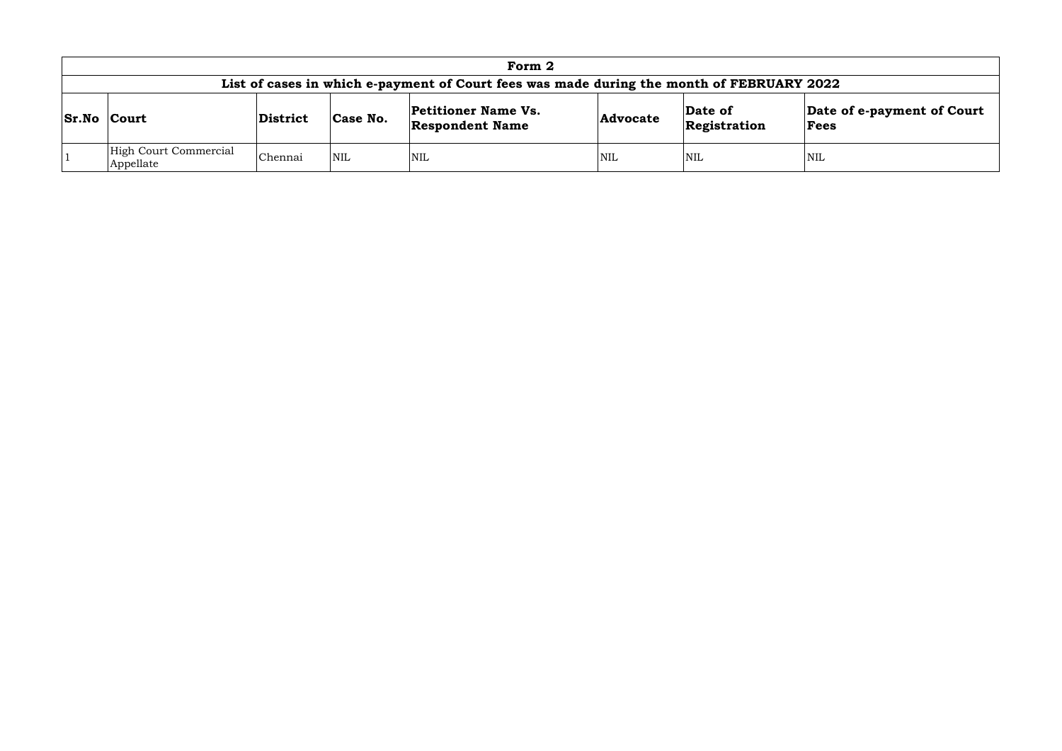|                                    |          |            | Form 2                                                                                    |                 |                         |                                    |
|------------------------------------|----------|------------|-------------------------------------------------------------------------------------------|-----------------|-------------------------|------------------------------------|
|                                    |          |            | List of cases in which e-payment of Court fees was made during the month of FEBRUARY 2022 |                 |                         |                                    |
| <b>Sr.No Court</b>                 | District | Case No.   | <b>Petitioner Name Vs.</b><br><b>Respondent Name</b>                                      | <b>Advocate</b> | Date of<br>Registration | Date of e-payment of Court<br>Fees |
| High Court Commercial<br>Appellate | Chennai  | <b>NIL</b> | <b>NIL</b>                                                                                | <b>NIL</b>      | <b>NIL</b>              | <b>NIL</b>                         |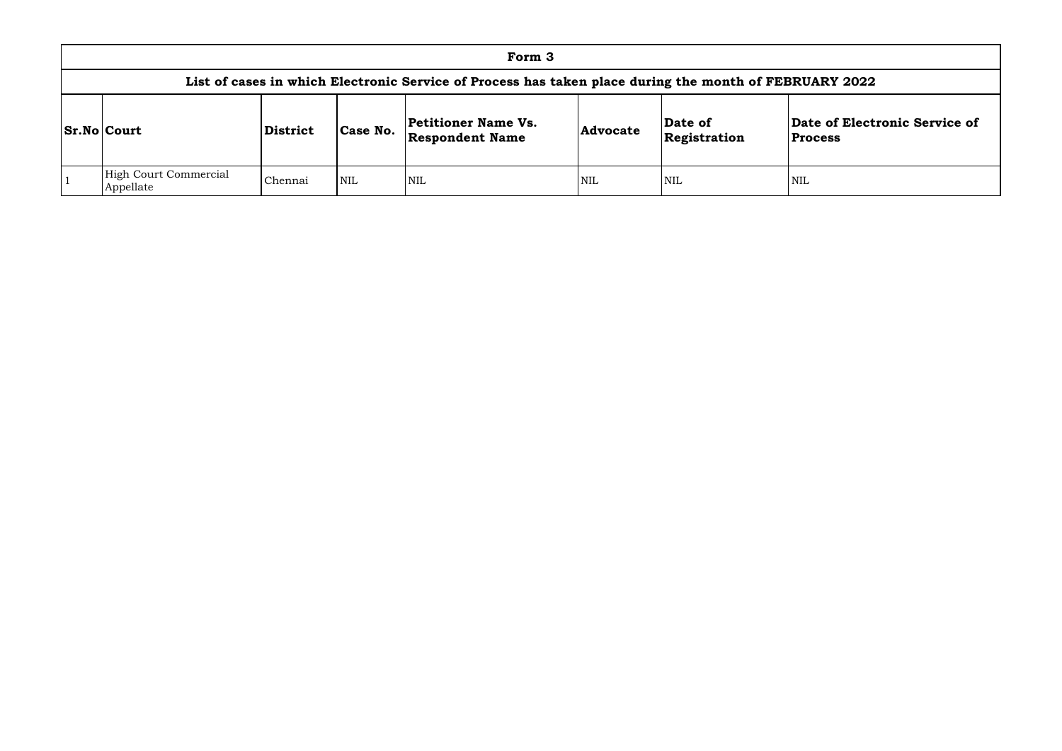|                                           |          |            | Form 3                                                                                                 |                 |                         |                                 |
|-------------------------------------------|----------|------------|--------------------------------------------------------------------------------------------------------|-----------------|-------------------------|---------------------------------|
|                                           |          |            | List of cases in which Electronic Service of Process has taken place during the month of FEBRUARY 2022 |                 |                         |                                 |
| <b>Sr.No Court</b>                        | District | Case No.   | <b>Petitioner Name Vs.</b><br><b>Respondent Name</b>                                                   | <b>Advocate</b> | Date of<br>Registration | Date of Elect<br><b>Process</b> |
| <b>High Court Commercial</b><br>Appellate | Chennai  | <b>NIL</b> | <b>NIL</b>                                                                                             | <b>NIL</b>      | <b>NIL</b>              | NIL                             |

## **Date of Electronic Service of Process**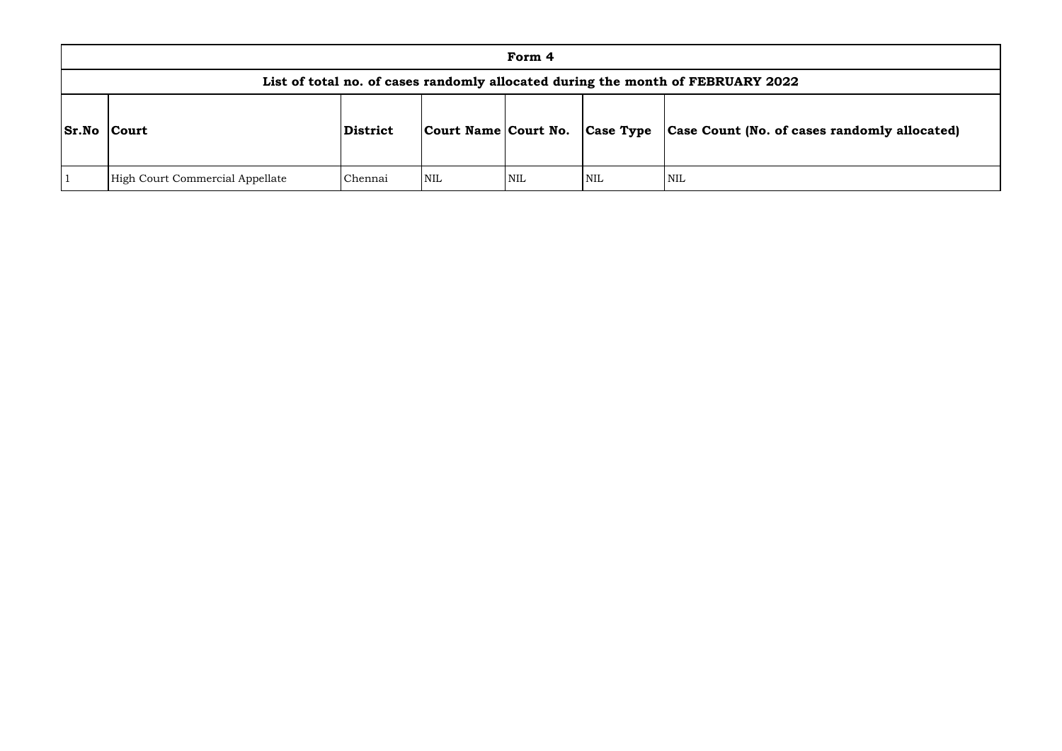|              |                                 |          |                      | Form 4     |                  |                                                                                 |
|--------------|---------------------------------|----------|----------------------|------------|------------------|---------------------------------------------------------------------------------|
|              |                                 |          |                      |            |                  | List of total no. of cases randomly allocated during the month of FEBRUARY 2022 |
| <b>Sr.No</b> | Court                           | District | Court Name Court No. |            | <b>Case Type</b> | Case Count (No. of ca                                                           |
|              | High Court Commercial Appellate | Chennai  | <b>NIL</b>           | <b>NIL</b> | NIL              | <b>NIL</b>                                                                      |

# **Sr.No Court District Court Name Court No. Case Type Case Count (No. of cases randomly allocated)**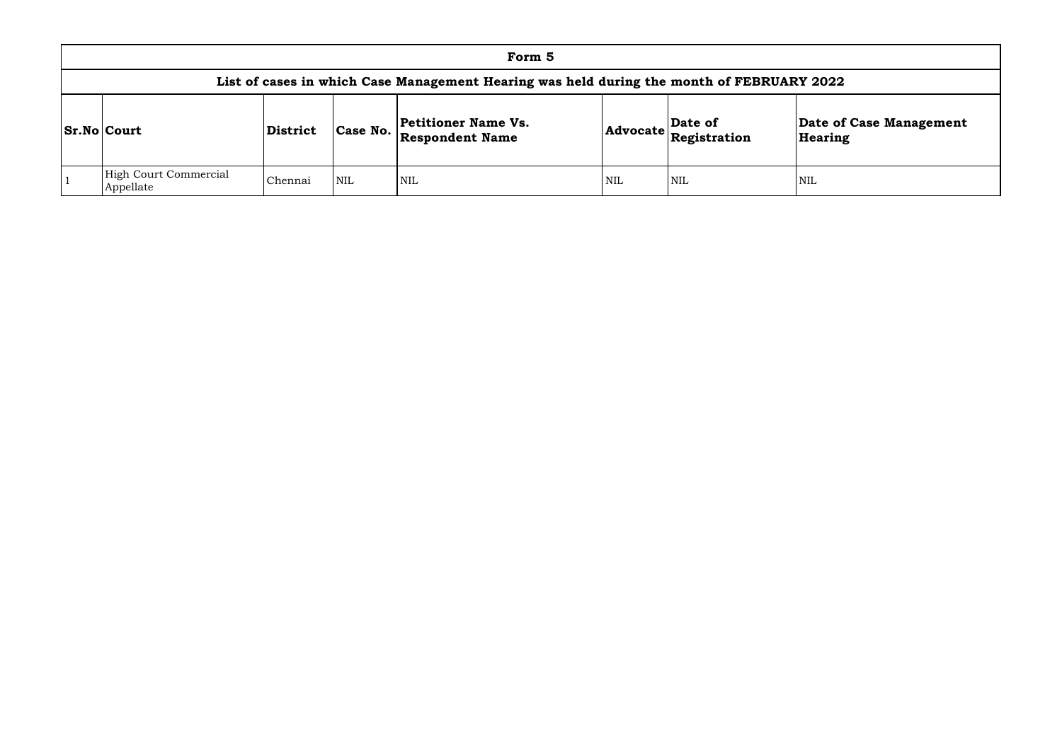|                                           |                 |            | Form 5                                                                                    |            |                                                                    |                    |
|-------------------------------------------|-----------------|------------|-------------------------------------------------------------------------------------------|------------|--------------------------------------------------------------------|--------------------|
|                                           |                 |            | List of cases in which Case Management Hearing was held during the month of FEBRUARY 2022 |            |                                                                    |                    |
| <b>Sr.No Court</b>                        | <b>District</b> | Case No.   | <b>Petitioner Name Vs.</b><br><b>Respondent Name</b>                                      |            | Date of<br>$ {\rm Advocate} \overline{\rm \mathbf{Re}g}$ istration | Date of<br>Hearing |
| <b>High Court Commercial</b><br>Appellate | Chennai         | <b>NIL</b> | <b>NIL</b>                                                                                | <b>NIL</b> | <b>NIL</b>                                                         | NIL                |

# **Date of Case Management Hearing**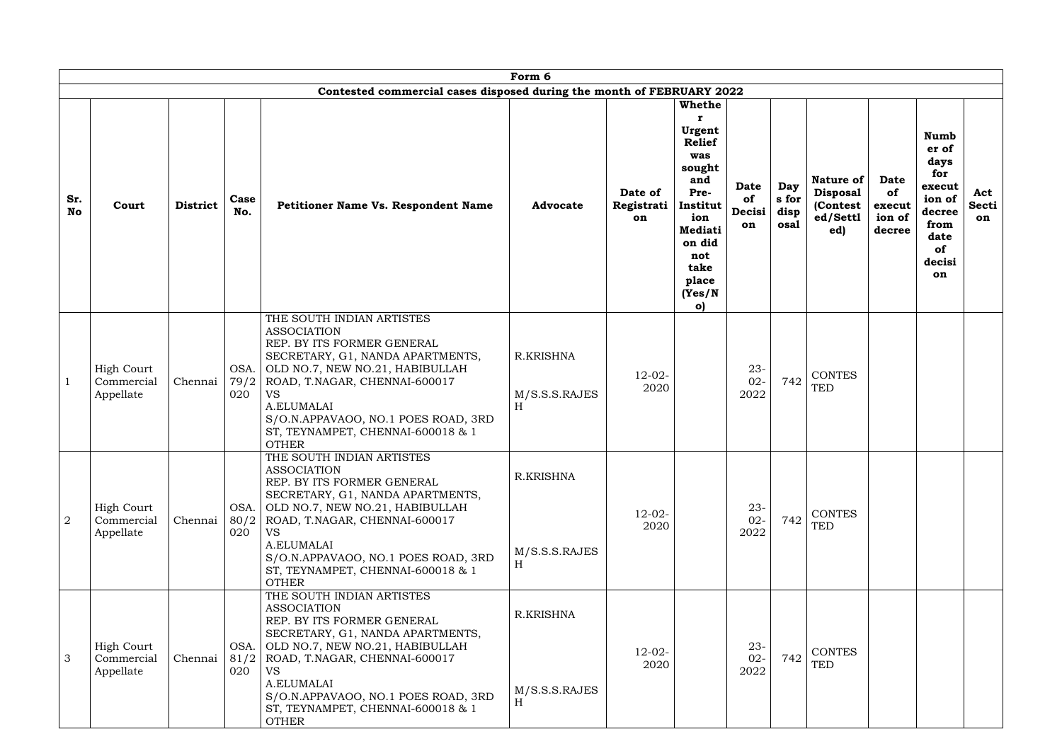|                  |                                              |                 |             |                                                                                                                                                                                                                                                                                                                          | Form 6                                  |                             |                                                                                                                                                                  |                            |                              |                                                                     |                                                 |                                                                                                         |                           |
|------------------|----------------------------------------------|-----------------|-------------|--------------------------------------------------------------------------------------------------------------------------------------------------------------------------------------------------------------------------------------------------------------------------------------------------------------------------|-----------------------------------------|-----------------------------|------------------------------------------------------------------------------------------------------------------------------------------------------------------|----------------------------|------------------------------|---------------------------------------------------------------------|-------------------------------------------------|---------------------------------------------------------------------------------------------------------|---------------------------|
|                  |                                              |                 |             | Contested commercial cases disposed during the month of FEBRUARY 2022                                                                                                                                                                                                                                                    |                                         |                             |                                                                                                                                                                  |                            |                              |                                                                     |                                                 |                                                                                                         |                           |
| Sr.<br><b>No</b> | Court                                        | <b>District</b> | Case<br>No. | Petitioner Name Vs. Respondent Name                                                                                                                                                                                                                                                                                      | <b>Advocate</b>                         | Date of<br>Registrati<br>on | <b>Whethe</b><br>Urgent<br><b>Relief</b><br>was<br>sought<br>and<br>Pre-<br>Institut<br>ion<br><b>Mediati</b><br>on did<br>not<br>take<br>place<br>(Yes/N)<br>o) | Date<br>of<br>Decisi<br>on | Day<br>s for<br>disp<br>osal | <b>Nature of</b><br><b>Disposal</b><br>(Contest)<br>ed/Settl<br>ed) | <b>Date</b><br>of<br>execut<br>ion of<br>decree | <b>Numb</b><br>er of<br>days<br>for<br>execut<br>ion of<br>decree<br>from<br>date<br>of<br>decisi<br>on | Act<br><b>Secti</b><br>on |
|                  | <b>High Court</b><br>Commercial<br>Appellate | Chennai         | 79/2<br>020 | THE SOUTH INDIAN ARTISTES<br><b>ASSOCIATION</b><br>REP. BY ITS FORMER GENERAL<br>SECRETARY, G1, NANDA APARTMENTS,<br>OSA.   OLD NO.7, NEW NO.21, HABIBULLAH<br>ROAD, T.NAGAR, CHENNAI-600017<br><b>VS</b><br>A.ELUMALAI<br>S/O.N.APPAVAOO, NO.1 POES ROAD, 3RD<br>ST, TEYNAMPET, CHENNAI-600018 & 1<br><b>OTHER</b>      | <b>R.KRISHNA</b><br>M/S.S.S.RAJES<br>H  | $12-02-$<br>2020            |                                                                                                                                                                  | $23 -$<br>$02 -$<br>2022   | 742                          | <b>CONTES</b><br><b>TED</b>                                         |                                                 |                                                                                                         |                           |
| $\overline{2}$   | <b>High Court</b><br>Commercial<br>Appellate | Chennai         | 80/2<br>020 | THE SOUTH INDIAN ARTISTES<br><b>ASSOCIATION</b><br>REP. BY ITS FORMER GENERAL<br>SECRETARY, G1, NANDA APARTMENTS,<br>OSA. OLD NO.7, NEW NO.21, HABIBULLAH<br>ROAD, T.NAGAR, CHENNAI-600017<br>VS<br>A.ELUMALAI<br>S/O.N.APPAVAOO, NO.1 POES ROAD, 3RD<br>ST, TEYNAMPET, CHENNAI-600018 & 1<br><b>OTHER</b>               | <b>R.KRISHNA</b><br>M/S.S.S.RAJES<br>H  | $12-02-$<br>2020            |                                                                                                                                                                  | $23-$<br>$02 -$<br>2022    | 742                          | <b>CONTES</b><br><b>TED</b>                                         |                                                 |                                                                                                         |                           |
| 3                | <b>High Court</b><br>Commercial<br>Appellate | Chennai         | 020         | THE SOUTH INDIAN ARTISTES<br><b>ASSOCIATION</b><br>REP. BY ITS FORMER GENERAL<br>SECRETARY, G1, NANDA APARTMENTS,<br>OSA. OLD NO.7, NEW NO.21, HABIBULLAH<br>81/2   ROAD, T.NAGAR, CHENNAI-600017<br><b>VS</b><br>A.ELUMALAI<br>S/O.N.APPAVAOO, NO.1 POES ROAD, 3RD<br>ST, TEYNAMPET, CHENNAI-600018 & 1<br><b>OTHER</b> | R.KRISHNA<br>M/S.S.S.RAJES<br>$H_{\rm}$ | $12-02-$<br>2020            |                                                                                                                                                                  | $23 -$<br>$02 -$<br>2022   | 742                          | <b>CONTES</b><br><b>TED</b>                                         |                                                 |                                                                                                         |                           |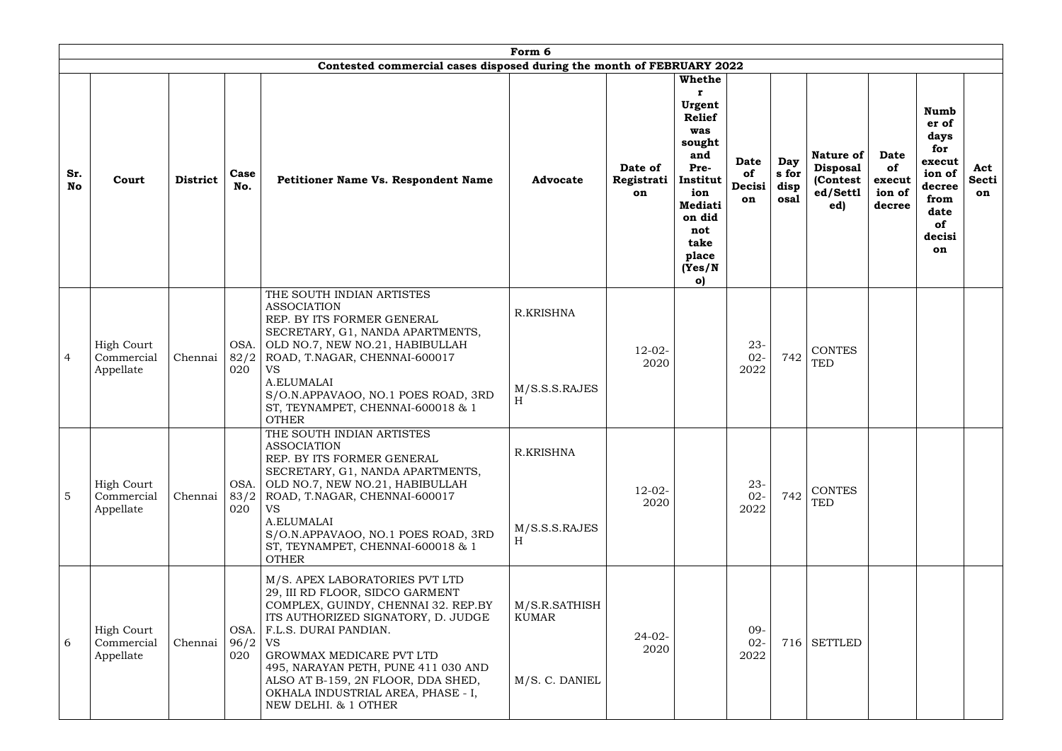|                  |                                              |                 |             |                                                                                                                                                                                                                                                                                                                                                                    | Form 6                                                         |                             |                                                                                                                                                                     |                                   |                              |                                                                    |                                                 |                                                                                                         |                           |
|------------------|----------------------------------------------|-----------------|-------------|--------------------------------------------------------------------------------------------------------------------------------------------------------------------------------------------------------------------------------------------------------------------------------------------------------------------------------------------------------------------|----------------------------------------------------------------|-----------------------------|---------------------------------------------------------------------------------------------------------------------------------------------------------------------|-----------------------------------|------------------------------|--------------------------------------------------------------------|-------------------------------------------------|---------------------------------------------------------------------------------------------------------|---------------------------|
|                  |                                              |                 |             | Contested commercial cases disposed during the month of FEBRUARY 2022                                                                                                                                                                                                                                                                                              |                                                                |                             |                                                                                                                                                                     |                                   |                              |                                                                    |                                                 |                                                                                                         |                           |
| Sr.<br><b>No</b> | Court                                        | <b>District</b> | Case<br>No. | <b>Petitioner Name Vs. Respondent Name</b>                                                                                                                                                                                                                                                                                                                         | <b>Advocate</b>                                                | Date of<br>Registrati<br>on | Whethe<br>Urgent<br><b>Relief</b><br>was<br>sought<br>and<br>Pre-<br>Institut<br>ion<br><b>Mediati</b><br>on did<br>not<br>take<br>place<br>(Yes/N)<br>$\mathbf{o}$ | <b>Date</b><br>of<br>Decisi<br>on | Day<br>s for<br>disp<br>osal | <b>Nature of</b><br><b>Disposal</b><br>(Contest<br>ed/Settl<br>ed) | <b>Date</b><br>of<br>execut<br>ion of<br>decree | <b>Numb</b><br>er of<br>days<br>for<br>execut<br>ion of<br>decree<br>from<br>date<br>of<br>decisi<br>on | Act<br><b>Secti</b><br>on |
| 4                | <b>High Court</b><br>Commercial<br>Appellate | Chennai         | 82/2<br>020 | THE SOUTH INDIAN ARTISTES<br><b>ASSOCIATION</b><br>REP. BY ITS FORMER GENERAL<br>SECRETARY, G1, NANDA APARTMENTS,<br>OSA. OLD NO.7, NEW NO.21, HABIBULLAH<br>ROAD, T.NAGAR, CHENNAI-600017<br><b>VS</b><br>A.ELUMALAI<br>S/O.N.APPAVAOO, NO.1 POES ROAD, 3RD<br>ST, TEYNAMPET, CHENNAI-600018 & 1<br><b>OTHER</b>                                                  | <b>R.KRISHNA</b><br>M/S.S.S.RAJES<br>$\boldsymbol{\mathrm{H}}$ | $12-02-$<br>2020            |                                                                                                                                                                     | $23 -$<br>$02 -$<br>2022          | 742                          | <b>CONTES</b><br><b>TED</b>                                        |                                                 |                                                                                                         |                           |
| 5                | <b>High Court</b><br>Commercial<br>Appellate | Chennai         | 83/2<br>020 | THE SOUTH INDIAN ARTISTES<br><b>ASSOCIATION</b><br>REP. BY ITS FORMER GENERAL<br>SECRETARY, G1, NANDA APARTMENTS,<br>OSA.   OLD NO.7, NEW NO.21, HABIBULLAH<br>ROAD, T.NAGAR, CHENNAI-600017<br>VS<br>A.ELUMALAI<br>S/O.N.APPAVAOO, NO.1 POES ROAD, 3RD<br>ST, TEYNAMPET, CHENNAI-600018 & 1<br><b>OTHER</b>                                                       | <b>R.KRISHNA</b><br>M/S.S.S.RAJES<br>H                         | $12-02-$<br>2020            |                                                                                                                                                                     | $23-$<br>$02 -$<br>2022           | 742                          | CONTES<br><b>TED</b>                                               |                                                 |                                                                                                         |                           |
| 6                | <b>High Court</b><br>Commercial<br>Appellate | Chennai         | 96/2<br>020 | M/S. APEX LABORATORIES PVT LTD<br>29, III RD FLOOR, SIDCO GARMENT<br>COMPLEX, GUINDY, CHENNAI 32. REP.BY<br>ITS AUTHORIZED SIGNATORY, D. JUDGE<br>OSA.   F.L.S. DURAI PANDIAN.<br><b>VS</b><br>GROWMAX MEDICARE PVT LTD<br>495, NARAYAN PETH, PUNE 411 030 AND<br>ALSO AT B-159, 2N FLOOR, DDA SHED,<br>OKHALA INDUSTRIAL AREA, PHASE - I,<br>NEW DELHI. & 1 OTHER | M/S.R.SATHISH<br><b>KUMAR</b><br>M/S. C. DANIEL                | $24-02-$<br>2020            |                                                                                                                                                                     | $09 -$<br>$02 -$<br>2022          |                              | 716 SETTLED                                                        |                                                 |                                                                                                         |                           |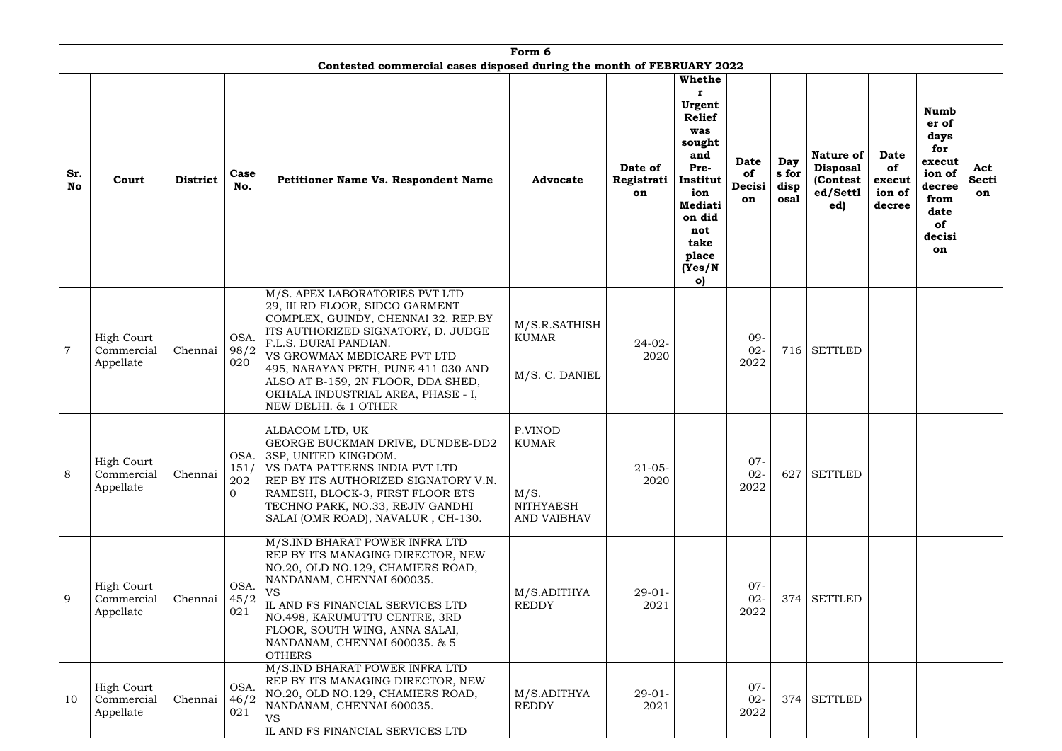|                  |                                              |                 |                                       |                                                                                                                                                                                                                                                                                                                                                   | Form 6                                                             |                             |                                                                                                                                                           |                                   |                              |                                                                    |                                                 |                                                                                                                |                    |
|------------------|----------------------------------------------|-----------------|---------------------------------------|---------------------------------------------------------------------------------------------------------------------------------------------------------------------------------------------------------------------------------------------------------------------------------------------------------------------------------------------------|--------------------------------------------------------------------|-----------------------------|-----------------------------------------------------------------------------------------------------------------------------------------------------------|-----------------------------------|------------------------------|--------------------------------------------------------------------|-------------------------------------------------|----------------------------------------------------------------------------------------------------------------|--------------------|
|                  |                                              |                 |                                       | Contested commercial cases disposed during the month of FEBRUARY 2022                                                                                                                                                                                                                                                                             |                                                                    |                             |                                                                                                                                                           |                                   |                              |                                                                    |                                                 |                                                                                                                |                    |
| Sr.<br><b>No</b> | Court                                        | <b>District</b> | Case<br>No.                           | <b>Petitioner Name Vs. Respondent Name</b>                                                                                                                                                                                                                                                                                                        | <b>Advocate</b>                                                    | Date of<br>Registrati<br>on | Whethe<br>Urgent<br><b>Relief</b><br>was<br>sought<br>and<br>Pre-<br>Institut<br>ion<br><b>Mediati</b><br>on did<br>not<br>take<br>place<br>(Yes/N)<br>O) | <b>Date</b><br>of<br>Decisi<br>on | Day<br>s for<br>disp<br>osal | <b>Nature of</b><br><b>Disposal</b><br>(Contest<br>ed/Settl<br>ed) | <b>Date</b><br>of<br>execut<br>ion of<br>decree | <b>Numb</b><br>er of<br>days<br>for<br>execut<br>ion of<br>decree<br>from<br>date<br><b>of</b><br>decisi<br>on | Act<br>Secti<br>on |
| $\overline{7}$   | <b>High Court</b><br>Commercial<br>Appellate | Chennai         | OSA.<br>98/2<br>020                   | M/S. APEX LABORATORIES PVT LTD<br>29, III RD FLOOR, SIDCO GARMENT<br>COMPLEX, GUINDY, CHENNAI 32. REP.BY<br>ITS AUTHORIZED SIGNATORY, D. JUDGE<br>F.L.S. DURAI PANDIAN.<br>VS GROWMAX MEDICARE PVT LTD<br>495, NARAYAN PETH, PUNE 411 030 AND<br>ALSO AT B-159, 2N FLOOR, DDA SHED,<br>OKHALA INDUSTRIAL AREA, PHASE - I,<br>NEW DELHI. & 1 OTHER | M/S.R.SATHISH<br><b>KUMAR</b><br>M/S. C. DANIEL                    | $24-02-$<br>2020            |                                                                                                                                                           | 09-<br>$02 -$<br>2022             | 716                          | <b>SETTLED</b>                                                     |                                                 |                                                                                                                |                    |
| 8                | <b>High Court</b><br>Commercial<br>Appellate | Chennai         | OSA.<br>151/<br>202<br>$\overline{0}$ | ALBACOM LTD, UK<br>GEORGE BUCKMAN DRIVE, DUNDEE-DD2<br>3SP, UNITED KINGDOM.<br>VS DATA PATTERNS INDIA PVT LTD<br>REP BY ITS AUTHORIZED SIGNATORY V.N.<br>RAMESH, BLOCK-3, FIRST FLOOR ETS<br>TECHNO PARK, NO.33, REJIV GANDHI<br>SALAI (OMR ROAD), NAVALUR, CH-130.                                                                               | P.VINOD<br>KUMAR<br>M/S.<br><b>NITHYAESH</b><br><b>AND VAIBHAV</b> | $21 - 05 -$<br>2020         |                                                                                                                                                           | $07 -$<br>$02 -$<br>2022          | 627                          | <b>SETTLED</b>                                                     |                                                 |                                                                                                                |                    |
| 9                | <b>High Court</b><br>Commercial<br>Appellate | Chennai         | OSA.<br>45/2<br>021                   | M/S.IND BHARAT POWER INFRA LTD<br>REP BY ITS MANAGING DIRECTOR, NEW<br>NO.20, OLD NO.129, CHAMIERS ROAD,<br>NANDANAM, CHENNAI 600035.<br><b>VS</b><br>IL AND FS FINANCIAL SERVICES LTD<br>NO.498, KARUMUTTU CENTRE, 3RD<br>FLOOR, SOUTH WING, ANNA SALAI,<br>NANDANAM, CHENNAI 600035. & 5<br><b>OTHERS</b>                                       | M/S.ADITHYA<br><b>REDDY</b>                                        | $29-01-$<br>2021            |                                                                                                                                                           | $07 -$<br>$02 -$<br>2022          |                              | 374   SETTLED                                                      |                                                 |                                                                                                                |                    |
| 10               | <b>High Court</b><br>Commercial<br>Appellate | Chennai         | OSA.<br>46/2<br>021                   | M/S.IND BHARAT POWER INFRA LTD<br>REP BY ITS MANAGING DIRECTOR, NEW<br>NO.20, OLD NO.129, CHAMIERS ROAD,<br>NANDANAM, CHENNAI 600035.<br><b>VS</b><br>IL AND FS FINANCIAL SERVICES LTD                                                                                                                                                            | M/S.ADITHYA<br><b>REDDY</b>                                        | $29-01-$<br>2021            |                                                                                                                                                           | $07 -$<br>$02 -$<br>2022          | 374                          | <b>SETTLED</b>                                                     |                                                 |                                                                                                                |                    |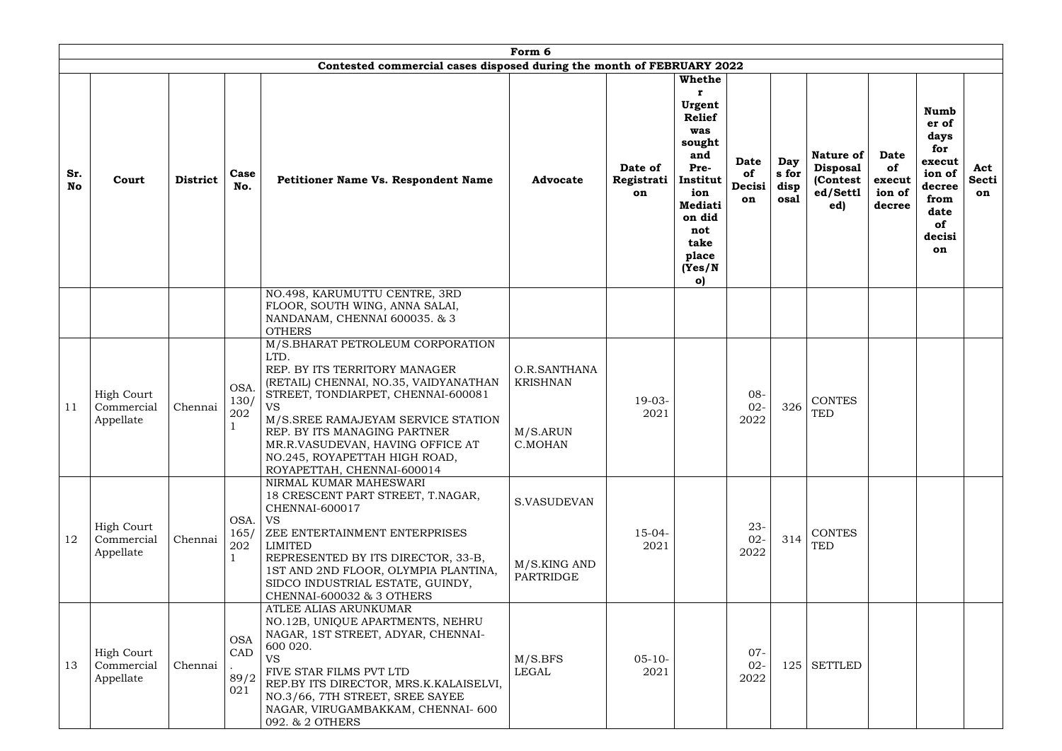|                  |                                              |                 |                                     |                                                                                                                                                                                                                                                                                                                                                | Form 6                                                 |                             |                                                                                                                                                                            |                                   |                              |                                                                    |                                                 |                                                                                                                |                                  |
|------------------|----------------------------------------------|-----------------|-------------------------------------|------------------------------------------------------------------------------------------------------------------------------------------------------------------------------------------------------------------------------------------------------------------------------------------------------------------------------------------------|--------------------------------------------------------|-----------------------------|----------------------------------------------------------------------------------------------------------------------------------------------------------------------------|-----------------------------------|------------------------------|--------------------------------------------------------------------|-------------------------------------------------|----------------------------------------------------------------------------------------------------------------|----------------------------------|
|                  |                                              |                 |                                     | Contested commercial cases disposed during the month of FEBRUARY 2022                                                                                                                                                                                                                                                                          |                                                        |                             |                                                                                                                                                                            |                                   |                              |                                                                    |                                                 |                                                                                                                |                                  |
| Sr.<br><b>No</b> | Court                                        | <b>District</b> | Case<br>No.                         | Petitioner Name Vs. Respondent Name                                                                                                                                                                                                                                                                                                            | <b>Advocate</b>                                        | Date of<br>Registrati<br>on | <b>Whethe</b><br>Urgent<br><b>Relief</b><br>was<br>sought<br>and<br>Pre-<br>Institut<br>ion<br><b>Mediati</b><br>on did<br>not<br>take<br>place<br>(Yes/N)<br>$\mathbf{o}$ | <b>Date</b><br>of<br>Decisi<br>on | Day<br>s for<br>disp<br>osal | <b>Nature of</b><br><b>Disposal</b><br>(Contest<br>ed/Settl<br>ed) | <b>Date</b><br>of<br>execut<br>ion of<br>decree | <b>Numb</b><br>er of<br>days<br>for<br>execut<br>ion of<br>decree<br>from<br>date<br><b>of</b><br>decisi<br>on | Act<br><b>Secti</b><br><b>on</b> |
|                  |                                              |                 |                                     | NO.498, KARUMUTTU CENTRE, 3RD<br>FLOOR, SOUTH WING, ANNA SALAI,<br>NANDANAM, CHENNAI 600035. & 3<br><b>OTHERS</b>                                                                                                                                                                                                                              |                                                        |                             |                                                                                                                                                                            |                                   |                              |                                                                    |                                                 |                                                                                                                |                                  |
| 11               | <b>High Court</b><br>Commercial<br>Appellate | Chennai         | OSA.<br>130/<br>202                 | M/S.BHARAT PETROLEUM CORPORATION<br>LTD.<br>REP. BY ITS TERRITORY MANAGER<br>(RETAIL) CHENNAI, NO.35, VAIDYANATHAN<br>STREET, TONDIARPET, CHENNAI-600081<br><b>VS</b><br>M/S.SREE RAMAJEYAM SERVICE STATION<br>REP. BY ITS MANAGING PARTNER<br>MR.R.VASUDEVAN, HAVING OFFICE AT<br>NO.245, ROYAPETTAH HIGH ROAD,<br>ROYAPETTAH, CHENNAI-600014 | O.R.SANTHANA<br><b>KRISHNAN</b><br>M/S.ARUN<br>C.MOHAN | $19-03-$<br>2021            |                                                                                                                                                                            | $08 -$<br>$02 -$<br>2022          | 326                          | <b>CONTES</b><br><b>TED</b>                                        |                                                 |                                                                                                                |                                  |
| 12               | <b>High Court</b><br>Commercial<br>Appellate | Chennai         | OSA.<br>165/<br>202<br>$\mathbf{1}$ | NIRMAL KUMAR MAHESWARI<br>18 CRESCENT PART STREET, T.NAGAR,<br>CHENNAI-600017<br><b>VS</b><br>ZEE ENTERTAINMENT ENTERPRISES<br>LIMITED<br>REPRESENTED BY ITS DIRECTOR, 33-B,<br>1ST AND 2ND FLOOR, OLYMPIA PLANTINA,<br>SIDCO INDUSTRIAL ESTATE, GUINDY,<br>CHENNAI-600032 & 3 OTHERS                                                          | <b>S.VASUDEVAN</b><br>M/S.KING AND<br>PARTRIDGE        | $15-04-$<br>2021            |                                                                                                                                                                            | $23 -$<br>$02 -$<br>2022          | 314                          | <b>CONTES</b><br><b>TED</b>                                        |                                                 |                                                                                                                |                                  |
| 13               | <b>High Court</b><br>Commercial<br>Appellate | Chennai         | <b>OSA</b><br>CAD<br>89/2<br>021    | ATLEE ALIAS ARUNKUMAR<br>NO.12B, UNIQUE APARTMENTS, NEHRU<br>NAGAR, 1ST STREET, ADYAR, CHENNAI-<br>600 020.<br><b>VS</b><br>FIVE STAR FILMS PVT LTD<br>REP.BY ITS DIRECTOR, MRS.K.KALAISELVI,<br>NO.3/66, 7TH STREET, SREE SAYEE<br>NAGAR, VIRUGAMBAKKAM, CHENNAI- 600<br>092. & 2 OTHERS                                                      | M/S.BFS<br><b>LEGAL</b>                                | $05-10-$<br>2021            |                                                                                                                                                                            | $07 -$<br>$02 -$<br>2022          | 125                          | <b>SETTLED</b>                                                     |                                                 |                                                                                                                |                                  |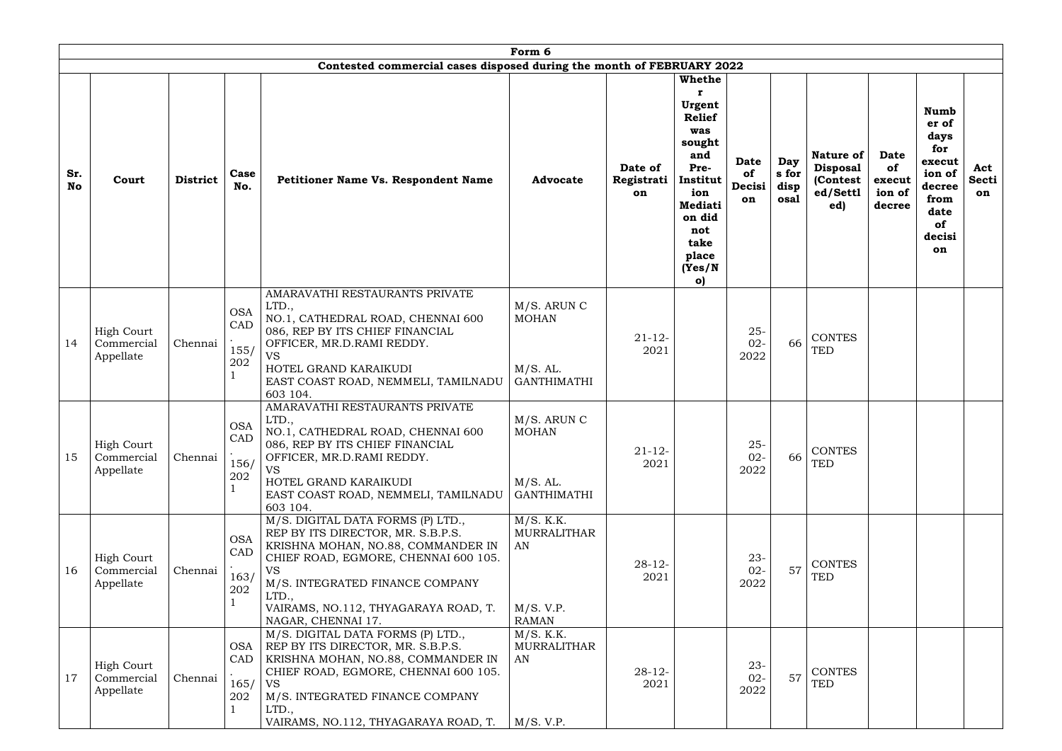|                  |                                              |                 |                                      |                                                                                                                                                                                                                                                                             | Form 6                                                             |                             |                                                                                                                                                                  |                            |                              |                                                                     |                                                 |                                                                                                         |                           |
|------------------|----------------------------------------------|-----------------|--------------------------------------|-----------------------------------------------------------------------------------------------------------------------------------------------------------------------------------------------------------------------------------------------------------------------------|--------------------------------------------------------------------|-----------------------------|------------------------------------------------------------------------------------------------------------------------------------------------------------------|----------------------------|------------------------------|---------------------------------------------------------------------|-------------------------------------------------|---------------------------------------------------------------------------------------------------------|---------------------------|
|                  |                                              |                 |                                      | Contested commercial cases disposed during the month of FEBRUARY 2022                                                                                                                                                                                                       |                                                                    |                             |                                                                                                                                                                  |                            |                              |                                                                     |                                                 |                                                                                                         |                           |
| Sr.<br><b>No</b> | Court                                        | <b>District</b> | Case<br>No.                          | Petitioner Name Vs. Respondent Name                                                                                                                                                                                                                                         | <b>Advocate</b>                                                    | Date of<br>Registrati<br>on | <b>Whethe</b><br>Urgent<br><b>Relief</b><br>was<br>sought<br>and<br>Pre-<br>Institut<br>ion<br><b>Mediati</b><br>on did<br>not<br>take<br>place<br>(Yes/N)<br>o) | Date<br>of<br>Decisi<br>on | Day<br>s for<br>disp<br>osal | <b>Nature of</b><br><b>Disposal</b><br>(Contest)<br>ed/Settl<br>ed) | <b>Date</b><br>of<br>execut<br>ion of<br>decree | <b>Numb</b><br>er of<br>days<br>for<br>execut<br>ion of<br>decree<br>from<br>date<br>of<br>decisi<br>on | Act<br><b>Secti</b><br>on |
| 14               | <b>High Court</b><br>Commercial<br>Appellate | Chennai         | <b>OSA</b><br>CAD<br>155/<br>$202\,$ | AMARAVATHI RESTAURANTS PRIVATE<br>LTD.,<br>NO.1, CATHEDRAL ROAD, CHENNAI 600<br>086, REP BY ITS CHIEF FINANCIAL<br>OFFICER, MR.D.RAMI REDDY.<br><b>VS</b><br>HOTEL GRAND KARAIKUDI<br>EAST COAST ROAD, NEMMELI, TAMILNADU<br>603 104.                                       | M/S. ARUN C<br><b>MOHAN</b><br>$M/S.$ AL.<br><b>GANTHIMATHI</b>    | $21 - 12$<br>2021           |                                                                                                                                                                  | $25 -$<br>$02 -$<br>2022   | 66                           | <b>CONTES</b><br><b>TED</b>                                         |                                                 |                                                                                                         |                           |
| 15               | High Court<br>Commercial<br>Appellate        | Chennai         | <b>OSA</b><br>CAD<br>156/<br>202     | AMARAVATHI RESTAURANTS PRIVATE<br>LTD.,<br>NO.1, CATHEDRAL ROAD, CHENNAI 600<br>086, REP BY ITS CHIEF FINANCIAL<br>OFFICER, MR.D.RAMI REDDY.<br><b>VS</b><br>HOTEL GRAND KARAIKUDI<br>EAST COAST ROAD, NEMMELI, TAMILNADU<br>603 104.                                       | M/S. ARUN C<br><b>MOHAN</b><br>$M/S.$ AL.<br><b>GANTHIMATHI</b>    | $21 - 12 -$<br>2021         |                                                                                                                                                                  | $25-$<br>$02 -$<br>2022    | 66                           | <b>CONTES</b><br><b>TED</b>                                         |                                                 |                                                                                                         |                           |
| 16               | <b>High Court</b><br>Commercial<br>Appellate | Chennai         | <b>OSA</b><br>CAD<br>163/<br>202     | M/S. DIGITAL DATA FORMS (P) LTD.,<br>REP BY ITS DIRECTOR, MR. S.B.P.S.<br>KRISHNA MOHAN, NO.88, COMMANDER IN<br>CHIEF ROAD, EGMORE, CHENNAI 600 105.<br><b>VS</b><br>M/S. INTEGRATED FINANCE COMPANY<br>LTD.,<br>VAIRAMS, NO.112, THYAGARAYA ROAD, T.<br>NAGAR, CHENNAI 17. | M/S. K.K.<br><b>MURRALITHAR</b><br>AN<br>M/S. V.P.<br><b>RAMAN</b> | $28-12-$<br>2021            |                                                                                                                                                                  | $23 -$<br>$02 -$<br>2022   | 57                           | <b>CONTES</b><br><b>TED</b>                                         |                                                 |                                                                                                         |                           |
| 17               | <b>High Court</b><br>Commercial<br>Appellate | Chennai         | OSA  <br>CAD<br>165/<br>202          | M/S. DIGITAL DATA FORMS (P) LTD.,<br>REP BY ITS DIRECTOR, MR. S.B.P.S.<br>KRISHNA MOHAN, NO.88, COMMANDER IN<br>CHIEF ROAD, EGMORE, CHENNAI 600 105.<br><b>VS</b><br>M/S. INTEGRATED FINANCE COMPANY<br>LTD.,<br>VAIRAMS, NO.112, THYAGARAYA ROAD, T.                       | M/S. K.K.<br><b>MURRALITHAR</b><br>AN<br>M/S. V.P.                 | $28 - 12$<br>2021           |                                                                                                                                                                  | $23 -$<br>$02 -$<br>2022   | 57                           | <b>CONTES</b><br><b>TED</b>                                         |                                                 |                                                                                                         |                           |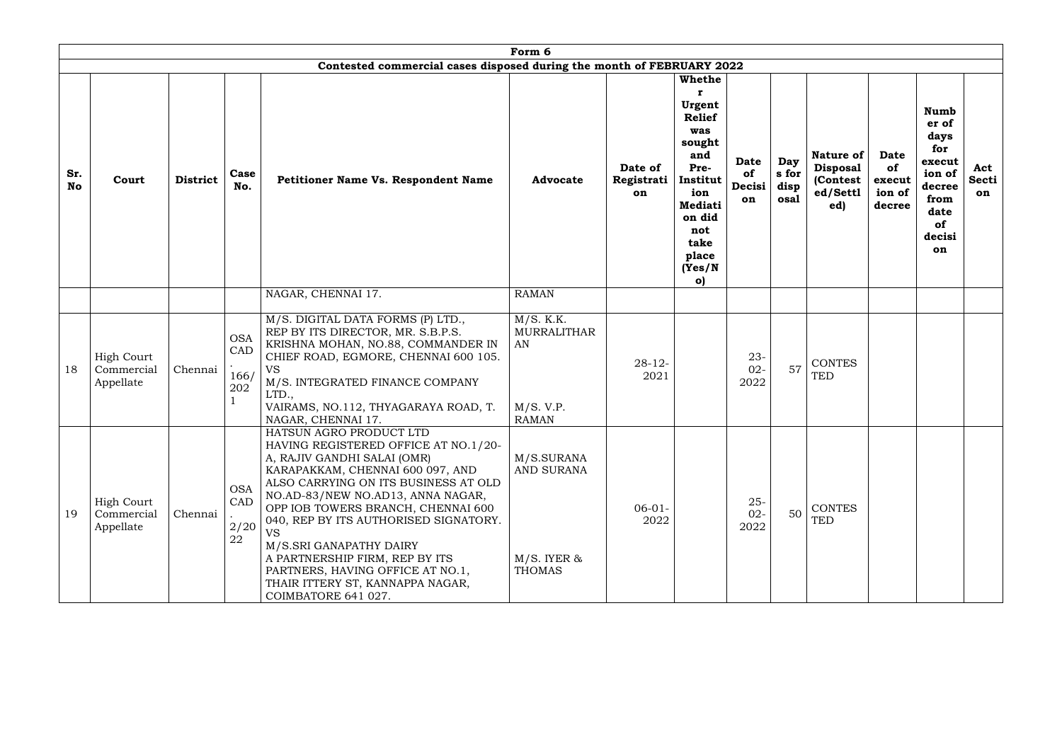|                  |                                              |                 |                                                  |                                                                                                                                                                                                                                                                                                                                                                                                                                                                  | Form 6                                                             |                             |                                                                                                                                                                            |                                   |                              |                                                                     |                                                 |                                                                                                                |                    |
|------------------|----------------------------------------------|-----------------|--------------------------------------------------|------------------------------------------------------------------------------------------------------------------------------------------------------------------------------------------------------------------------------------------------------------------------------------------------------------------------------------------------------------------------------------------------------------------------------------------------------------------|--------------------------------------------------------------------|-----------------------------|----------------------------------------------------------------------------------------------------------------------------------------------------------------------------|-----------------------------------|------------------------------|---------------------------------------------------------------------|-------------------------------------------------|----------------------------------------------------------------------------------------------------------------|--------------------|
|                  |                                              |                 |                                                  | Contested commercial cases disposed during the month of FEBRUARY 2022                                                                                                                                                                                                                                                                                                                                                                                            |                                                                    |                             |                                                                                                                                                                            |                                   |                              |                                                                     |                                                 |                                                                                                                |                    |
| Sr.<br><b>No</b> | Court                                        | <b>District</b> | Case<br>No.                                      | <b>Petitioner Name Vs. Respondent Name</b>                                                                                                                                                                                                                                                                                                                                                                                                                       | <b>Advocate</b>                                                    | Date of<br>Registrati<br>on | <b>Whethe</b><br>Urgent<br><b>Relief</b><br>was<br>sought<br>and<br>Pre-<br>Institut<br>ion<br><b>Mediati</b><br>on did<br>not<br>take<br>place<br>(Yes/N)<br>$\mathbf{o}$ | <b>Date</b><br>of<br>Decisi<br>on | Day<br>s for<br>disp<br>osal | <b>Nature of</b><br><b>Disposal</b><br>(Contest)<br>ed/Settl<br>ed) | <b>Date</b><br>of<br>execut<br>ion of<br>decree | <b>Numb</b><br>er of<br>days<br>for<br>execut<br>ion of<br>decree<br>from<br>date<br>of<br>decisi<br><b>on</b> | Act<br>Secti<br>on |
|                  |                                              |                 |                                                  | NAGAR, CHENNAI 17.                                                                                                                                                                                                                                                                                                                                                                                                                                               | <b>RAMAN</b>                                                       |                             |                                                                                                                                                                            |                                   |                              |                                                                     |                                                 |                                                                                                                |                    |
| 18               | <b>High Court</b><br>Commercial<br>Appellate | Chennai         | <b>OSA</b><br>CAD<br>166/<br>202<br>$\mathbf{1}$ | M/S. DIGITAL DATA FORMS (P) LTD.,<br>REP BY ITS DIRECTOR, MR. S.B.P.S.<br>KRISHNA MOHAN, NO.88, COMMANDER IN<br>CHIEF ROAD, EGMORE, CHENNAI 600 105.<br><b>VS</b><br>M/S. INTEGRATED FINANCE COMPANY<br>LTD.,<br>VAIRAMS, NO.112, THYAGARAYA ROAD, T.<br>NAGAR, CHENNAI 17.                                                                                                                                                                                      | M/S. K.K.<br><b>MURRALITHAR</b><br>AN<br>M/S. V.P.<br><b>RAMAN</b> | $28 - 12$<br>2021           |                                                                                                                                                                            | $23 -$<br>$02 -$<br>2022          | 57                           | <b>CONTES</b><br><b>TED</b>                                         |                                                 |                                                                                                                |                    |
| 19               | <b>High Court</b><br>Commercial<br>Appellate | Chennai         | <b>OSA</b><br>CAD<br>2/20<br>22                  | HATSUN AGRO PRODUCT LTD<br>HAVING REGISTERED OFFICE AT NO.1/20-<br>A, RAJIV GANDHI SALAI (OMR)<br>KARAPAKKAM, CHENNAI 600 097, AND<br>ALSO CARRYING ON ITS BUSINESS AT OLD<br>NO.AD-83/NEW NO.AD13, ANNA NAGAR,<br>OPP IOB TOWERS BRANCH, CHENNAI 600<br>040, REP BY ITS AUTHORISED SIGNATORY.<br>VS<br>M/S.SRI GANAPATHY DAIRY<br>A PARTNERSHIP FIRM, REP BY ITS<br>PARTNERS, HAVING OFFICE AT NO.1,<br>THAIR ITTERY ST, KANNAPPA NAGAR,<br>COIMBATORE 641 027. | M/S.SURANA<br><b>AND SURANA</b><br>$M/S.$ IYER &<br><b>THOMAS</b>  | $06-01-$<br>2022            |                                                                                                                                                                            | $25 -$<br>$02 -$<br>2022          | 50                           | <b>CONTES</b><br><b>TED</b>                                         |                                                 |                                                                                                                |                    |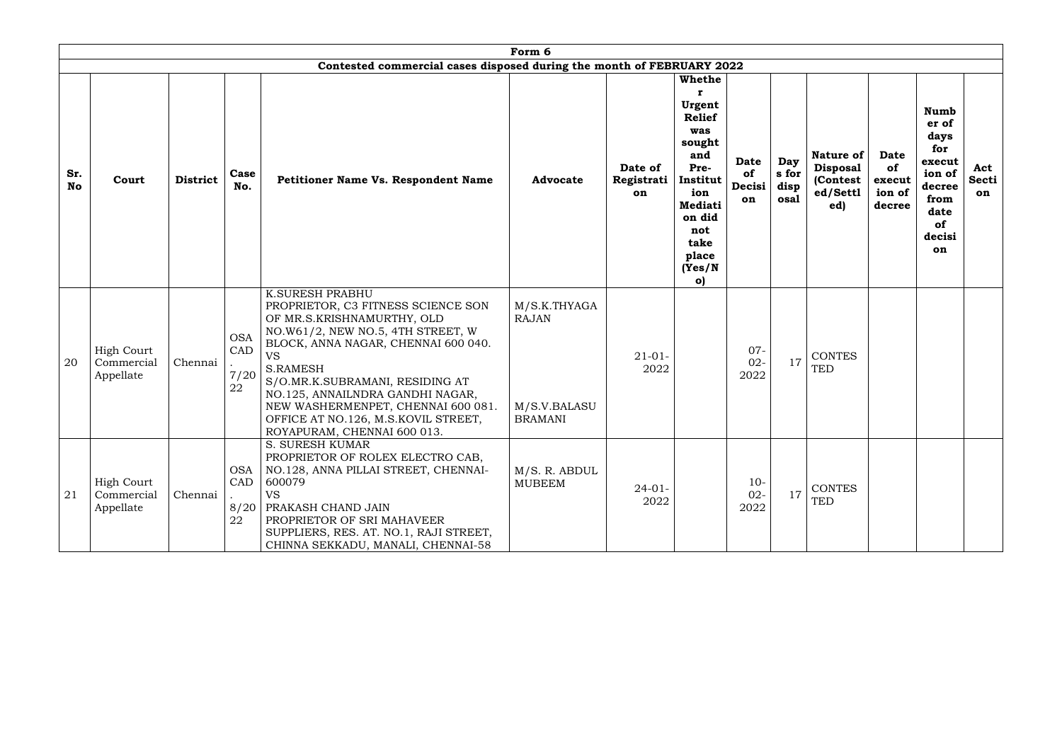|                  |                                              |                 |                                 |                                                                                                                                                                                                                                                                                                                                                                                           | Form 6                                                         |                             |                                                                                                                                                                            |                                          |                              |                                                                     |                                                 |                                                                                                         |                           |
|------------------|----------------------------------------------|-----------------|---------------------------------|-------------------------------------------------------------------------------------------------------------------------------------------------------------------------------------------------------------------------------------------------------------------------------------------------------------------------------------------------------------------------------------------|----------------------------------------------------------------|-----------------------------|----------------------------------------------------------------------------------------------------------------------------------------------------------------------------|------------------------------------------|------------------------------|---------------------------------------------------------------------|-------------------------------------------------|---------------------------------------------------------------------------------------------------------|---------------------------|
|                  |                                              |                 |                                 | Contested commercial cases disposed during the month of FEBRUARY 2022                                                                                                                                                                                                                                                                                                                     |                                                                |                             |                                                                                                                                                                            |                                          |                              |                                                                     |                                                 |                                                                                                         |                           |
| Sr.<br><b>No</b> | Court                                        | <b>District</b> | Case<br>No.                     | Petitioner Name Vs. Respondent Name                                                                                                                                                                                                                                                                                                                                                       | <b>Advocate</b>                                                | Date of<br>Registrati<br>on | <b>Whethe</b><br>Urgent<br><b>Relief</b><br>was<br>sought<br>and<br>Pre-<br>Institut<br>ion<br><b>Mediati</b><br>on did<br>not<br>take<br>place<br>(Yes/N)<br>$\mathbf{o}$ | <b>Date</b><br><b>of</b><br>Decisi<br>on | Day<br>s for<br>disp<br>osal | <b>Nature of</b><br><b>Disposal</b><br>(Contest)<br>ed/Settl<br>ed) | <b>Date</b><br>of<br>execut<br>ion of<br>decree | <b>Numb</b><br>er of<br>days<br>for<br>execut<br>ion of<br>decree<br>from<br>date<br>of<br>decisi<br>on | Act<br><b>Secti</b><br>on |
| 20               | <b>High Court</b><br>Commercial<br>Appellate | Chennai         | <b>OSA</b><br>CAD<br>7/20<br>22 | <b>K.SURESH PRABHU</b><br>PROPRIETOR, C3 FITNESS SCIENCE SON<br>OF MR.S.KRISHNAMURTHY, OLD<br>NO.W61/2, NEW NO.5, 4TH STREET, W<br>BLOCK, ANNA NAGAR, CHENNAI 600 040.<br><b>VS</b><br><b>S.RAMESH</b><br>S/O.MR.K.SUBRAMANI, RESIDING AT<br>NO.125, ANNAILNDRA GANDHI NAGAR,<br>NEW WASHERMENPET, CHENNAI 600 081.<br>OFFICE AT NO.126, M.S.KOVIL STREET,<br>ROYAPURAM, CHENNAI 600 013. | M/S.K.THYAGA<br><b>RAJAN</b><br>M/S.V.BALASU<br><b>BRAMANI</b> | $21 - 01 -$<br>2022         |                                                                                                                                                                            | $07 -$<br>$02 -$<br>2022                 | 17                           | <b>CONTES</b><br><b>TED</b>                                         |                                                 |                                                                                                         |                           |
| 21               | <b>High Court</b><br>Commercial<br>Appellate | Chennai         | <b>OSA</b><br>CAD<br>8/20<br>22 | <b>S. SURESH KUMAR</b><br>PROPRIETOR OF ROLEX ELECTRO CAB,<br>NO.128, ANNA PILLAI STREET, CHENNAI-<br>600079<br><b>VS</b><br>PRAKASH CHAND JAIN<br>PROPRIETOR OF SRI MAHAVEER<br>SUPPLIERS, RES. AT. NO.1, RAJI STREET,<br>CHINNA SEKKADU, MANALI, CHENNAI-58                                                                                                                             | M/S. R. ABDUL<br><b>MUBEEM</b>                                 | $24-01-$<br>2022            |                                                                                                                                                                            | $10-$<br>$02 -$<br>2022                  | 17                           | <b>CONTES</b><br><b>TED</b>                                         |                                                 |                                                                                                         |                           |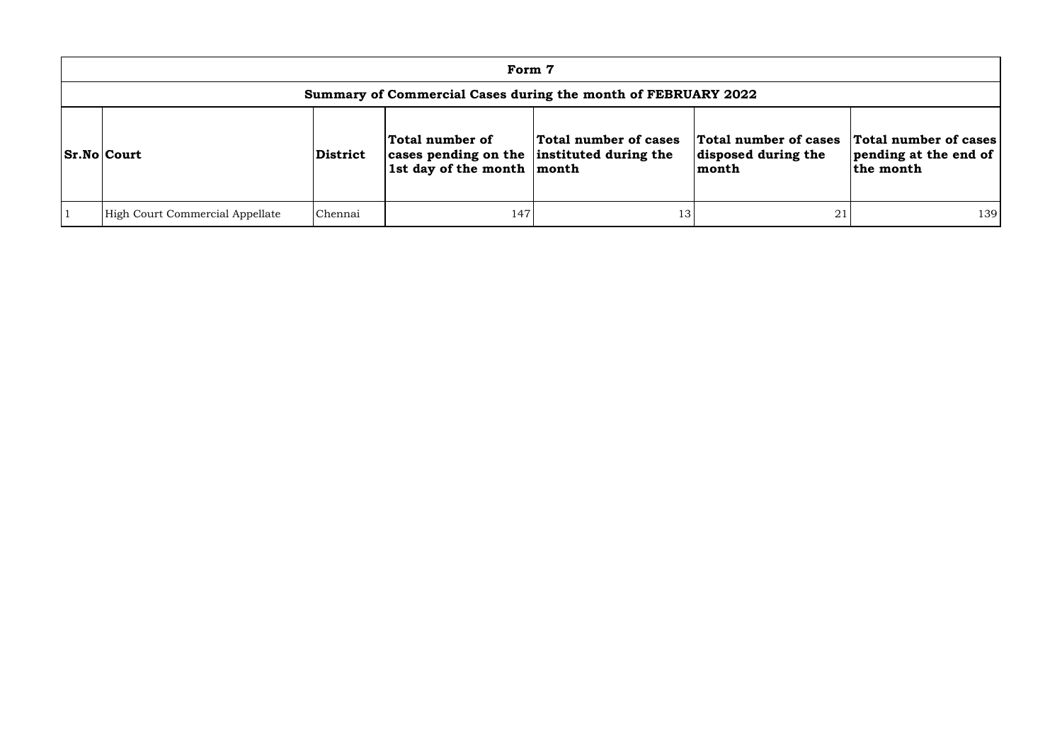|                                 |          | Form 7                                                                                              |                                                               |                                                       |                                                             |
|---------------------------------|----------|-----------------------------------------------------------------------------------------------------|---------------------------------------------------------------|-------------------------------------------------------|-------------------------------------------------------------|
|                                 |          |                                                                                                     | Summary of Commercial Cases during the month of FEBRUARY 2022 |                                                       |                                                             |
| <b>Sr.No Court</b>              | District | Total number of<br>cases pending on the instituted during the<br>1st day of the month $\vert$ month | Total number of cases                                         | Total number of cases<br>disposed during the<br>month | Total number of cases<br>pending at the end of<br>the month |
| High Court Commercial Appellate | Chennai  | 147                                                                                                 | 13                                                            | 21                                                    | 139                                                         |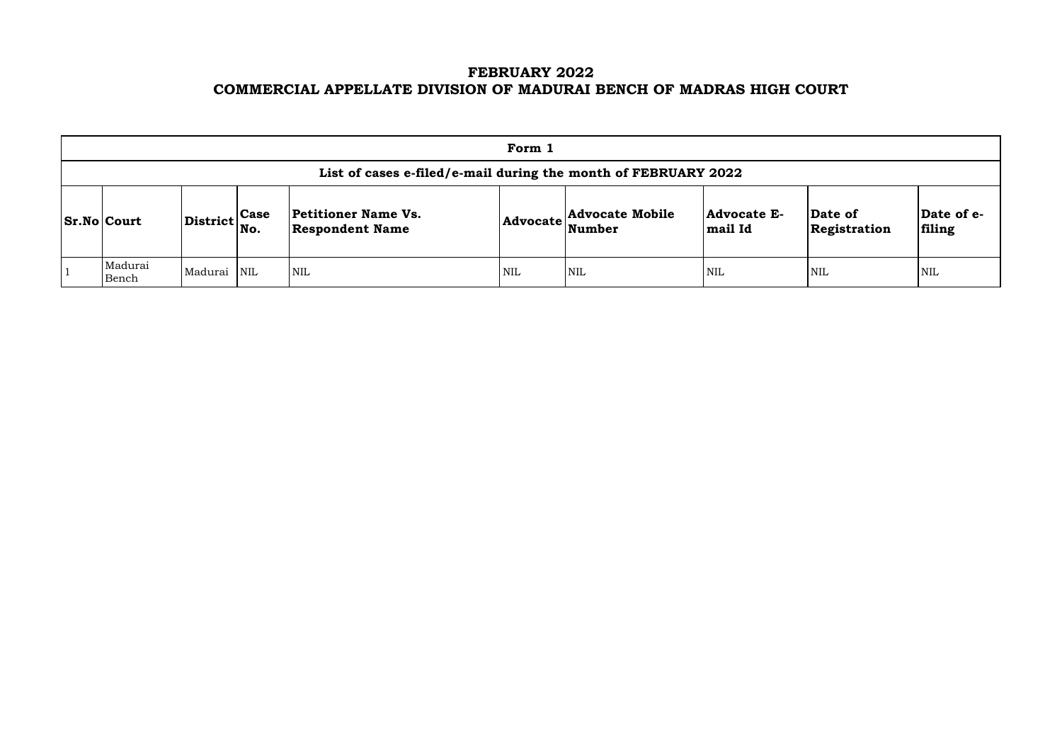# **FEBRUARY 2022 COMMERCIAL APPELLATE DIVISION OF MADURAI BENCH OF MADRAS HIGH COURT**

| Form 1                                                         |                                                           |  |                                                      |     |                                                            |                               |                         |                     |  |  |
|----------------------------------------------------------------|-----------------------------------------------------------|--|------------------------------------------------------|-----|------------------------------------------------------------|-------------------------------|-------------------------|---------------------|--|--|
| List of cases e-filed/e-mail during the month of FEBRUARY 2022 |                                                           |  |                                                      |     |                                                            |                               |                         |                     |  |  |
| <b>Sr.No Court</b>                                             | $\left \text{District}\right _{\text{No.}}^{\text{Case}}$ |  | <b>Petitioner Name Vs.</b><br><b>Respondent Name</b> |     | <b>Advocate Mobile</b><br>$ {\bf Advocate} \text{Number} $ | <b>Advocate E-</b><br>mail Id | Date of<br>Registration | <b>Da</b>  <br>fili |  |  |
| Madurai<br>Bench                                               | Madurai NIL                                               |  | <b>NIL</b>                                           | NIL | NIL                                                        | <b>NIL</b>                    | <b>NIL</b>              | NIL                 |  |  |

| Date of<br>Registration | Date of e-<br>filing |
|-------------------------|----------------------|
| NIL                     | NH.                  |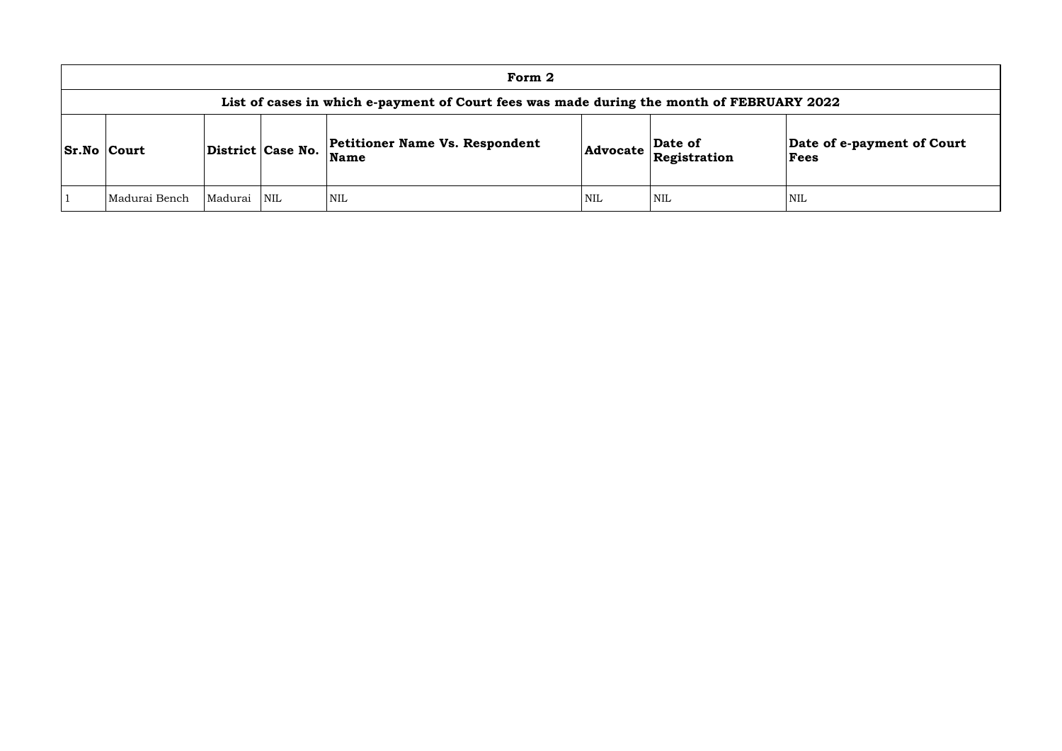| Form 2                                                                                    |         |     |                                               |            |                         |                 |  |  |  |  |
|-------------------------------------------------------------------------------------------|---------|-----|-----------------------------------------------|------------|-------------------------|-----------------|--|--|--|--|
| List of cases in which e-payment of Court fees was made during the month of FEBRUARY 2022 |         |     |                                               |            |                         |                 |  |  |  |  |
| <b>Sr.No Court</b><br>District Case No.                                                   |         |     | <b>Petitioner Name Vs. Respondent</b><br>Name | Advocate   | Date of<br>Registration | Date of<br>Fees |  |  |  |  |
| Madurai Bench                                                                             | Madurai | NIL | <b>NIL</b>                                    | <b>NIL</b> | <b>NIL</b>              | NIL             |  |  |  |  |

# **Date of e-payment of Court Fees**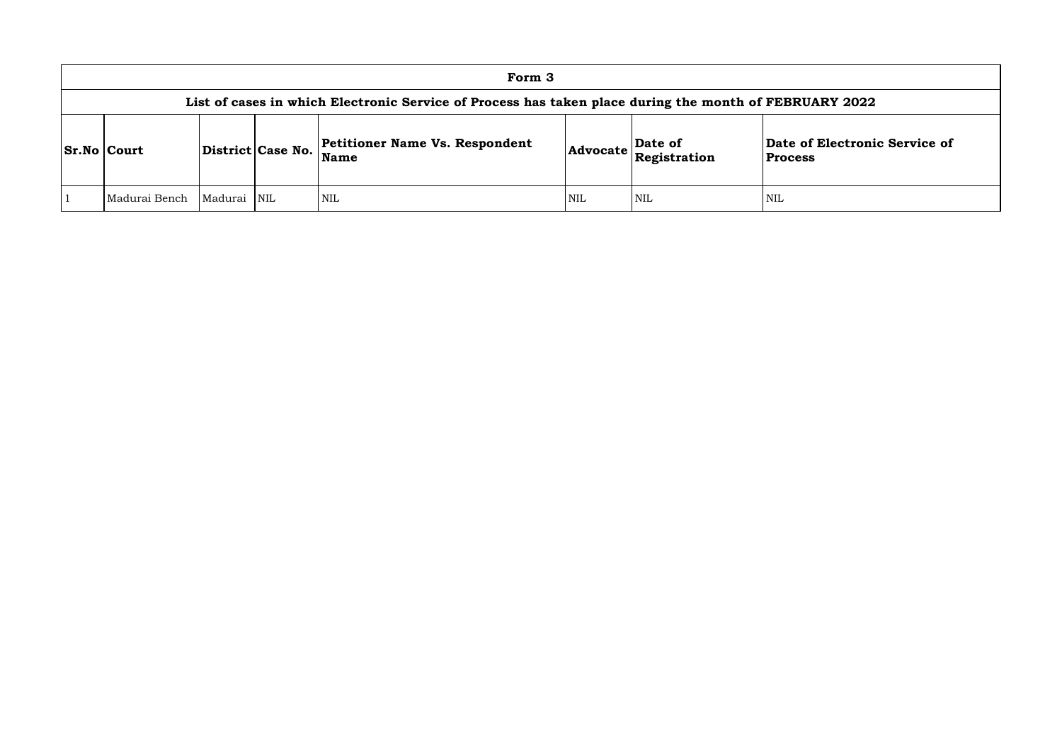## **of Electronic Service of Process**

| Form 3                                                                                                 |             |  |                                                      |            |                                                                                     |                                     |  |  |  |  |
|--------------------------------------------------------------------------------------------------------|-------------|--|------------------------------------------------------|------------|-------------------------------------------------------------------------------------|-------------------------------------|--|--|--|--|
| List of cases in which Electronic Service of Process has taken place during the month of FEBRUARY 2022 |             |  |                                                      |            |                                                                                     |                                     |  |  |  |  |
| District Case No.<br><b>Sr.No Court</b>                                                                |             |  | <b>Petitioner Name Vs. Respondent</b><br><b>Name</b> |            | Date of<br>$ {\bf Advocate}\left \stackrel{\text{---}}{\text{Resistration}}\right $ | Date of Electroni<br><b>Process</b> |  |  |  |  |
| Madurai Bench                                                                                          | Madurai NIL |  | <b>NIL</b>                                           | <b>NIL</b> | NIL                                                                                 | <b>NIL</b>                          |  |  |  |  |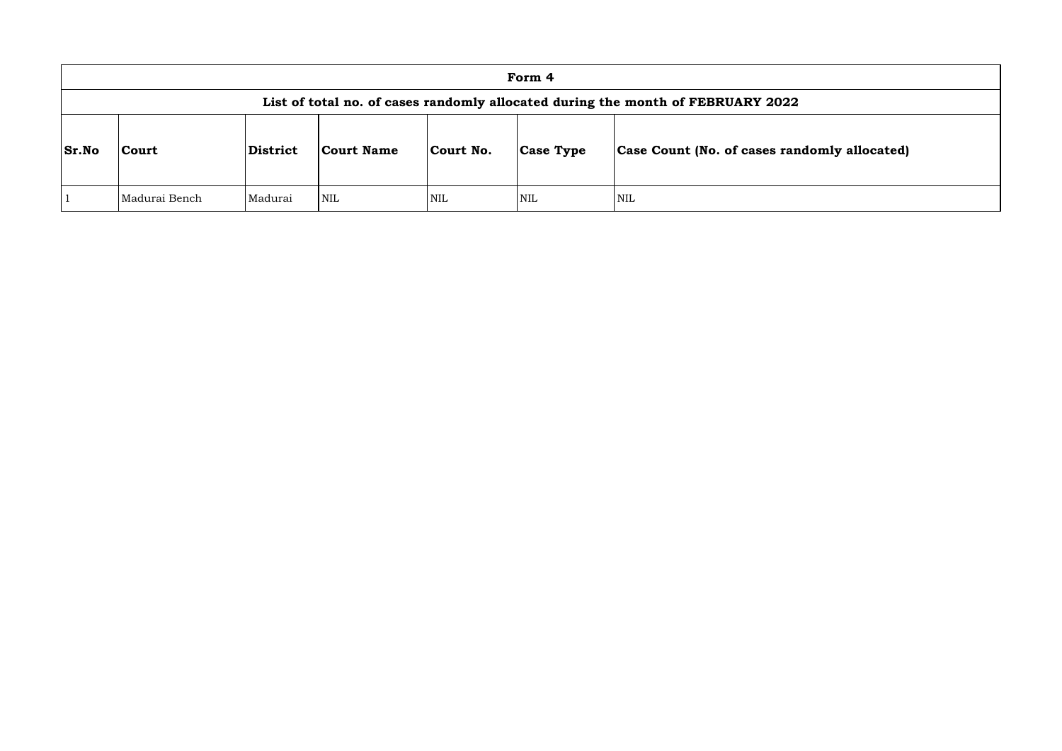|              | Form 4                                                                          |                 |            |            |                  |                                      |  |  |  |
|--------------|---------------------------------------------------------------------------------|-----------------|------------|------------|------------------|--------------------------------------|--|--|--|
|              | List of total no. of cases randomly allocated during the month of FEBRUARY 2022 |                 |            |            |                  |                                      |  |  |  |
| <b>Sr.No</b> | <b>Court</b>                                                                    | <b>District</b> | Court Name | Court No.  | <b>Case Type</b> | <b>Case Count (No. of cases rand</b> |  |  |  |
|              | Madurai Bench                                                                   | Madurai         | <b>NIL</b> | <b>NIL</b> | <b>NIL</b>       | <b>NIL</b>                           |  |  |  |

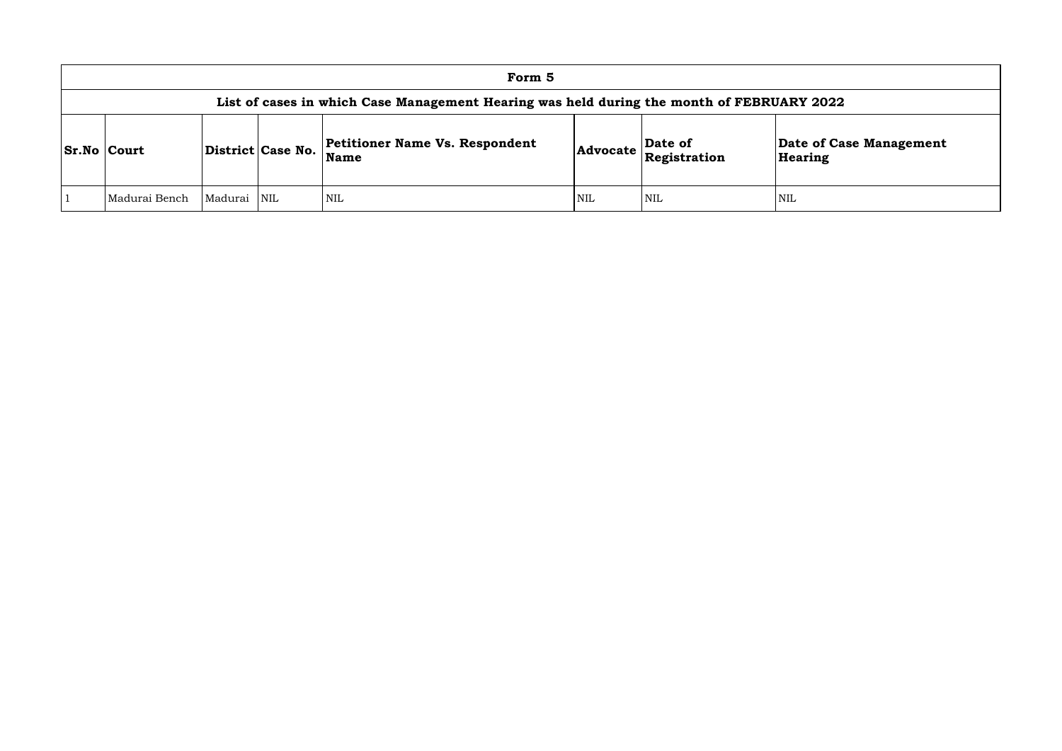| Form 5                                                                                    |                   |             |                                               |          |                         |                       |  |  |  |
|-------------------------------------------------------------------------------------------|-------------------|-------------|-----------------------------------------------|----------|-------------------------|-----------------------|--|--|--|
| List of cases in which Case Management Hearing was held during the month of FEBRUARY 2022 |                   |             |                                               |          |                         |                       |  |  |  |
| <b>Sr.No Court</b>                                                                        | District Case No. |             | <b>Petitioner Name Vs. Respondent</b><br>Name | Advocate | Date of<br>Registration | Date of Ca<br>Hearing |  |  |  |
| Madurai Bench                                                                             | Madurai           | <b>INIL</b> | <b>NIL</b>                                    | NIL      | <b>NIL</b>              | NIL                   |  |  |  |

**e of Case Management** ring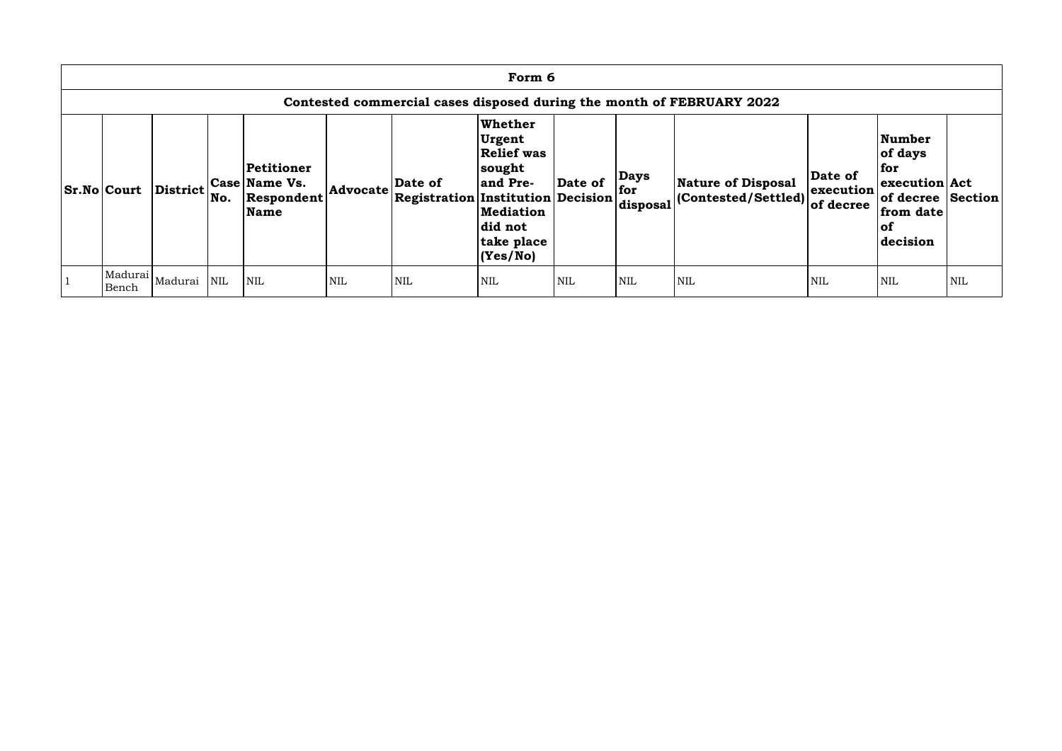| Form 6                                                                |          |     |                                                          |            |                                                    |                                                                                                                              |            |                                |                                                   |                                   |                                                                                                            |     |
|-----------------------------------------------------------------------|----------|-----|----------------------------------------------------------|------------|----------------------------------------------------|------------------------------------------------------------------------------------------------------------------------------|------------|--------------------------------|---------------------------------------------------|-----------------------------------|------------------------------------------------------------------------------------------------------------|-----|
| Contested commercial cases disposed during the month of FEBRUARY 2022 |          |     |                                                          |            |                                                    |                                                                                                                              |            |                                |                                                   |                                   |                                                                                                            |     |
| <b>Sr.No Court</b>                                                    | District | No. | Petitioner<br>Case Name Vs.<br>Respondent<br><b>Name</b> | Advocate   | Date of<br>$ {}$ Registration Institution Decision | <b>Whether</b><br>Urgent<br><b>Relief was</b><br>sought<br>and Pre-<br><b>Mediation</b><br>did not<br>take place<br>(Yes/No) | Date of    | <b>Days</b><br>for<br>disposal | Nature of Disposal<br>$ $ (Contested/Settled) $ $ | Date of<br>execution<br>of decree | <b>Number</b><br>of days<br>  for<br>execution Act<br>of decree Section<br>from date<br>$ $ of<br>decision |     |
| Madurai<br>Bench                                                      | Madurai  | NIL | <b>NIL</b>                                               | <b>NIL</b> | <b>NIL</b>                                         | <b>NIL</b>                                                                                                                   | <b>NIL</b> | <b>NIL</b>                     | <b>NIL</b>                                        | NIL                               | NIL                                                                                                        | NIL |